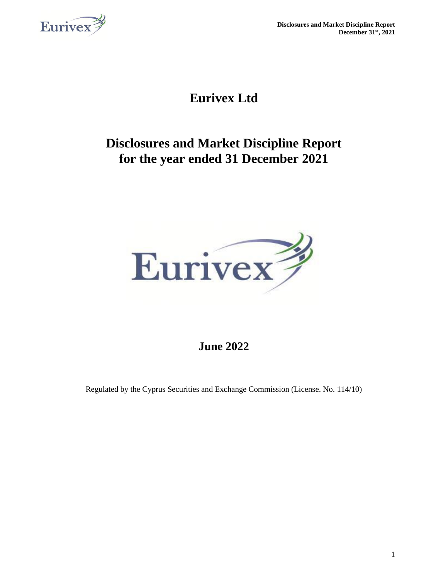

**Disclosures and Market Discipline Report December 31st, 2021**

# **Eurivex Ltd**

# **Disclosures and Market Discipline Report for the year ended 31 December 2021**



## **June 2022**

Regulated by the Cyprus Securities and Exchange Commission (License. No. 114/10)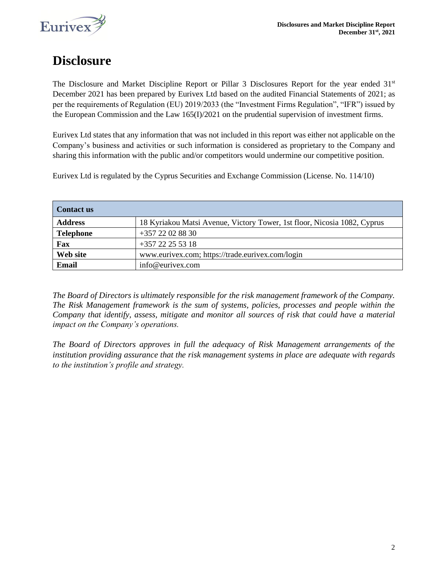

# **Disclosure**

The Disclosure and Market Discipline Report or Pillar 3 Disclosures Report for the year ended 31<sup>st</sup> December 2021 has been prepared by Eurivex Ltd based on the audited Financial Statements of 2021; as per the requirements of Regulation (EU) 2019/2033 (the "Investment Firms Regulation", "IFR") issued by the European Commission and the Law 165(I)/2021 on the prudential supervision of investment firms.

Eurivex Ltd states that any information that was not included in this report was either not applicable on the Company's business and activities or such information is considered as proprietary to the Company and sharing this information with the public and/or competitors would undermine our competitive position.

Eurivex Ltd is regulated by the Cyprus Securities and Exchange Commission (License. No. 114/10)

| Contact us       |                                                                          |
|------------------|--------------------------------------------------------------------------|
| <b>Address</b>   | 18 Kyriakou Matsi Avenue, Victory Tower, 1st floor, Nicosia 1082, Cyprus |
| <b>Telephone</b> | +357 22 02 88 30                                                         |
| Fax              | $+357$ 22 25 53 18                                                       |
| Web site         | www.eurivex.com; https://trade.eurivex.com/login                         |
| Email            | info@eurivex.com                                                         |

*The Board of Directors is ultimately responsible for the risk management framework of the Company. The Risk Management framework is the sum of systems, policies, processes and people within the Company that identify, assess, mitigate and monitor all sources of risk that could have a material impact on the Company's operations.* 

*The Board of Directors approves in full the adequacy of Risk Management arrangements of the institution providing assurance that the risk management systems in place are adequate with regards to the institution's profile and strategy.*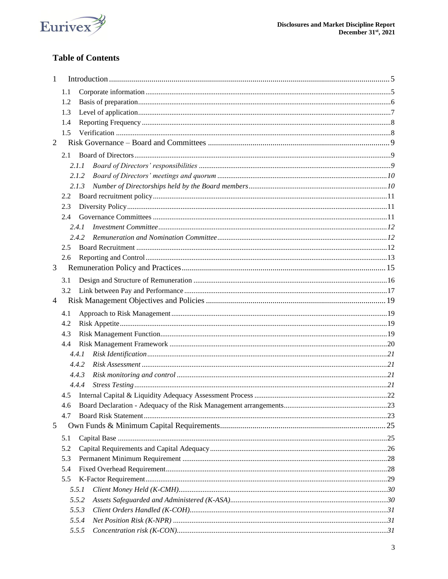

### **Table of Contents**

| 1 |     |       |  |
|---|-----|-------|--|
|   | 1.1 |       |  |
|   | 1.2 |       |  |
|   | 1.3 |       |  |
|   | 1.4 |       |  |
|   | 1.5 |       |  |
| 2 |     |       |  |
|   | 2.1 |       |  |
|   |     | 2.1.1 |  |
|   |     | 2.1.2 |  |
|   |     | 2.1.3 |  |
|   | 2.2 |       |  |
|   | 2.3 |       |  |
|   | 2.4 |       |  |
|   |     | 2.4.1 |  |
|   |     | 2.4.2 |  |
|   | 2.5 |       |  |
|   | 2.6 |       |  |
| 3 |     |       |  |
|   |     |       |  |
|   | 3.1 |       |  |
|   | 3.2 |       |  |
|   |     |       |  |
| 4 |     |       |  |
|   | 4.1 |       |  |
|   | 4.2 |       |  |
|   | 4.3 |       |  |
|   | 4.4 |       |  |
|   |     | 4.4.1 |  |
|   |     | 4.4.2 |  |
|   |     | 4.4.3 |  |
|   |     | 4.4.4 |  |
|   | 4.5 |       |  |
|   | 4.6 |       |  |
|   | 4.7 |       |  |
| 5 |     |       |  |
|   | 5.1 |       |  |
|   | 5.2 |       |  |
|   | 5.3 |       |  |
|   | 5.4 |       |  |
|   | 5.5 |       |  |
|   |     | 5.5.1 |  |
|   |     | 5.5.2 |  |
|   |     | 5.5.3 |  |
|   |     | 5.5.4 |  |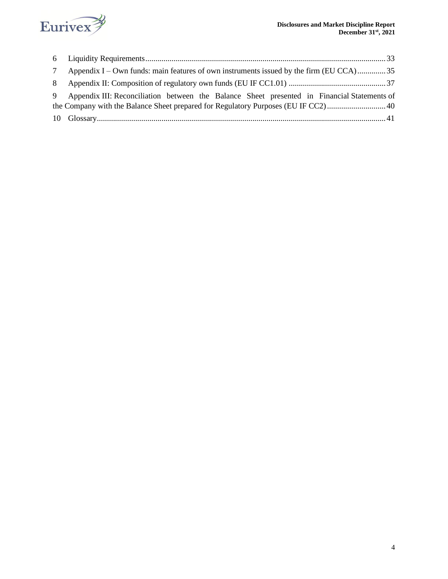

|   | Appendix I – Own funds: main features of own instruments issued by the firm (EU CCA)35      |
|---|---------------------------------------------------------------------------------------------|
| 8 |                                                                                             |
| 9 | Appendix III: Reconciliation between the Balance Sheet presented in Financial Statements of |
|   |                                                                                             |
|   |                                                                                             |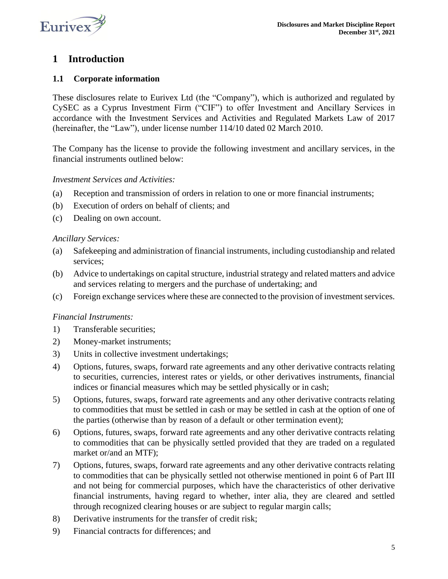

### <span id="page-4-0"></span>**1 Introduction**

### <span id="page-4-1"></span>**1.1 Corporate information**

These disclosures relate to Eurivex Ltd (the "Company"), which is authorized and regulated by CySEC as a Cyprus Investment Firm ("CIF") to offer Investment and Ancillary Services in accordance with the Investment Services and Activities and Regulated Markets Law of 2017 (hereinafter, the "Law"), under license number 114/10 dated 02 March 2010.

The Company has the license to provide the following investment and ancillary services, in the financial instruments outlined below:

### *Investment Services and Activities:*

- (a) Reception and transmission of orders in relation to one or more financial instruments;
- (b) Execution of orders on behalf of clients; and
- (c) Dealing on own account.

### *Ancillary Services:*

- (a) Safekeeping and administration of financial instruments, including custodianship and related services;
- (b) Advice to undertakings on capital structure, industrial strategy and related matters and advice and services relating to mergers and the purchase of undertaking; and
- (c) Foreign exchange services where these are connected to the provision of investment services.

### *Financial Instruments:*

- 1) Transferable securities;
- 2) Money-market instruments;
- 3) Units in collective investment undertakings;
- 4) Options, futures, swaps, forward rate agreements and any other derivative contracts relating to securities, currencies, interest rates or yields, or other derivatives instruments, financial indices or financial measures which may be settled physically or in cash;
- 5) Options, futures, swaps, forward rate agreements and any other derivative contracts relating to commodities that must be settled in cash or may be settled in cash at the option of one of the parties (otherwise than by reason of a default or other termination event);
- 6) Options, futures, swaps, forward rate agreements and any other derivative contracts relating to commodities that can be physically settled provided that they are traded on a regulated market or/and an MTF);
- 7) Options, futures, swaps, forward rate agreements and any other derivative contracts relating to commodities that can be physically settled not otherwise mentioned in point 6 of Part III and not being for commercial purposes, which have the characteristics of other derivative financial instruments, having regard to whether, inter alia, they are cleared and settled through recognized clearing houses or are subject to regular margin calls;
- 8) Derivative instruments for the transfer of credit risk;
- 9) Financial contracts for differences; and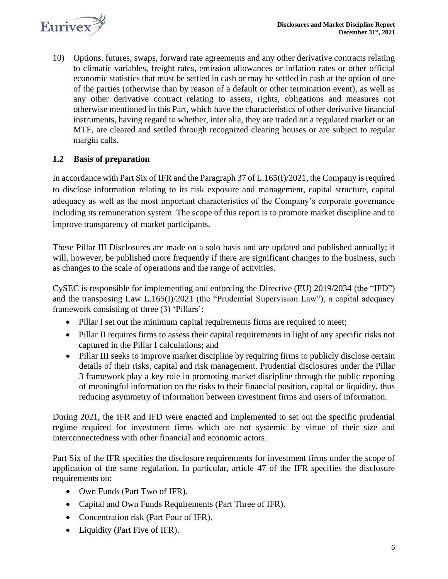

10) Options, futures, swaps, forward rate agreements and any other derivative contracts relating to climatic variables, freight rates, emission allowances or inflation rates or other official economic statistics that must be settled in cash or may be settled in cash at the option of one of the parties (otherwise than by reason of a default or other termination event), as well as any other derivative contract relating to assets, rights, obligations and measures not otherwise mentioned in this Part, which have the characteristics of other derivative financial instruments, having regard to whether, inter alia, they are traded on a regulated market or an MTF, are cleared and settled through recognized clearing houses or are subject to regular margin calls.

### <span id="page-5-0"></span>**1.2 Basis of preparation**

In accordance with Part Six of IFR and the Paragraph 37 of L.165(I)/2021, the Company is required to disclose information relating to its risk exposure and management, capital structure, capital adequacy as well as the most important characteristics of the Company's corporate governance including its remuneration system. The scope of this report is to promote market discipline and to improve transparency of market participants.

These Pillar III Disclosures are made on a solo basis and are updated and published annually; it will, however, be published more frequently if there are significant changes to the business, such as changes to the scale of operations and the range of activities.

CySEC is responsible for implementing and enforcing the Directive (EU) 2019/2034 (the "IFD") and the transposing Law L.165(I)/2021 (the "Prudential Supervision Law"), a capital adequacy framework consisting of three (3) 'Pillars':

- Pillar I set out the minimum capital requirements firms are required to meet;
- Pillar II requires firms to assess their capital requirements in light of any specific risks not captured in the Pillar I calculations; and
- Pillar III seeks to improve market discipline by requiring firms to publicly disclose certain details of their risks, capital and risk management. Prudential disclosures under the Pillar 3 framework play a key role in promoting market discipline through the public reporting of meaningful information on the risks to their financial position, capital or liquidity, thus reducing asymmetry of information between investment firms and users of information.

During 2021, the IFR and IFD were enacted and implemented to set out the specific prudential regime required for investment firms which are not systemic by virtue of their size and interconnectedness with other financial and economic actors.

Part Six of the IFR specifies the disclosure requirements for investment firms under the scope of application of the same regulation. In particular, article 47 of the IFR specifies the disclosure requirements on:

- Own Funds (Part Two of IFR).
- Capital and Own Funds Requirements (Part Three of IFR).
- Concentration risk (Part Four of IFR).
- Liquidity (Part Five of IFR).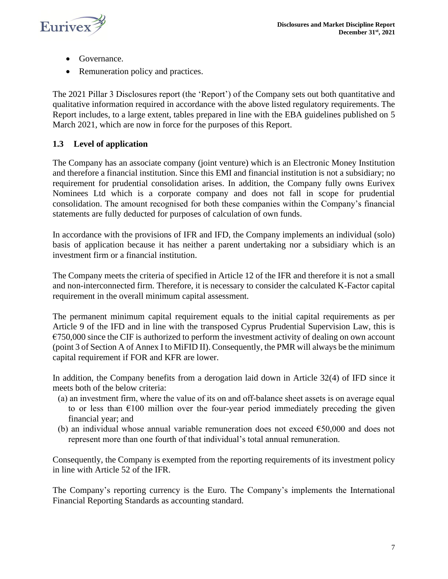

- Governance.
- Remuneration policy and practices.

The 2021 Pillar 3 Disclosures report (the 'Report') of the Company sets out both quantitative and qualitative information required in accordance with the above listed regulatory requirements. The Report includes, to a large extent, tables prepared in line with the EBA guidelines published on 5 March 2021, which are now in force for the purposes of this Report.

### <span id="page-6-0"></span>**1.3 Level of application**

The Company has an associate company (joint venture) which is an Electronic Money Institution and therefore a financial institution. Since this EMI and financial institution is not a subsidiary; no requirement for prudential consolidation arises. In addition, the Company fully owns Eurivex Nominees Ltd which is a corporate company and does not fall in scope for prudential consolidation. The amount recognised for both these companies within the Company's financial statements are fully deducted for purposes of calculation of own funds.

In accordance with the provisions of IFR and IFD, the Company implements an individual (solo) basis of application because it has neither a parent undertaking nor a subsidiary which is an investment firm or a financial institution.

The Company meets the criteria of specified in Article 12 of the IFR and therefore it is not a small and non-interconnected firm. Therefore, it is necessary to consider the calculated K-Factor capital requirement in the overall minimum capital assessment.

The permanent minimum capital requirement equals to the initial capital requirements as per Article 9 of the IFD and in line with the transposed Cyprus Prudential Supervision Law, this is  $\epsilon$ 750,000 since the CIF is authorized to perform the investment activity of dealing on own account (point 3 of Section A of Annex I to MiFID II). Consequently, the PMR will always be the minimum capital requirement if FOR and KFR are lower.

In addition, the Company benefits from a derogation laid down in Article 32(4) of IFD since it meets both of the below criteria:

- (a) an investment firm, where the value of its on and off‐balance sheet assets is on average equal to or less than  $\epsilon$ 100 million over the four-year period immediately preceding the given financial year; and
- (b) an individual whose annual variable remuneration does not exceed  $\epsilon$ 50,000 and does not represent more than one fourth of that individual's total annual remuneration.

Consequently, the Company is exempted from the reporting requirements of its investment policy in line with Article 52 of the IFR.

The Company's reporting currency is the Euro. The Company's implements the International Financial Reporting Standards as accounting standard.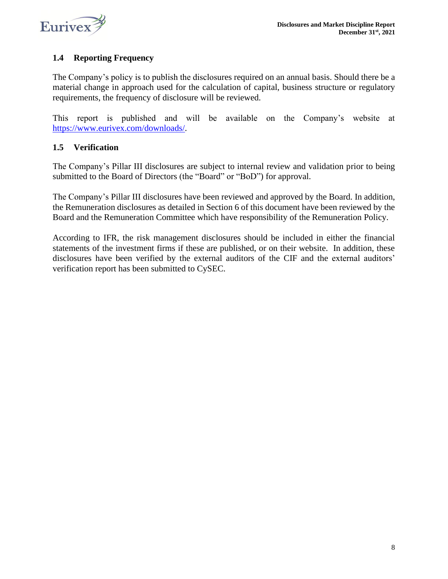

### <span id="page-7-0"></span>**1.4 Reporting Frequency**

The Company's policy is to publish the disclosures required on an annual basis. Should there be a material change in approach used for the calculation of capital, business structure or regulatory requirements, the frequency of disclosure will be reviewed.

This report is published and will be available on the Company's website at [https://www.eurivex.com/downloads/.](https://www.eurivex.com/downloads/)

### <span id="page-7-1"></span>**1.5 Verification**

The Company's Pillar III disclosures are subject to internal review and validation prior to being submitted to the Board of Directors (the "Board" or "BoD") for approval.

The Company's Pillar III disclosures have been reviewed and approved by the Board. In addition, the Remuneration disclosures as detailed in Section 6 of this document have been reviewed by the Board and the Remuneration Committee which have responsibility of the Remuneration Policy.

According to IFR, the risk management disclosures should be included in either the financial statements of the investment firms if these are published, or on their website. In addition, these disclosures have been verified by the external auditors of the CIF and the external auditors' verification report has been submitted to CySEC.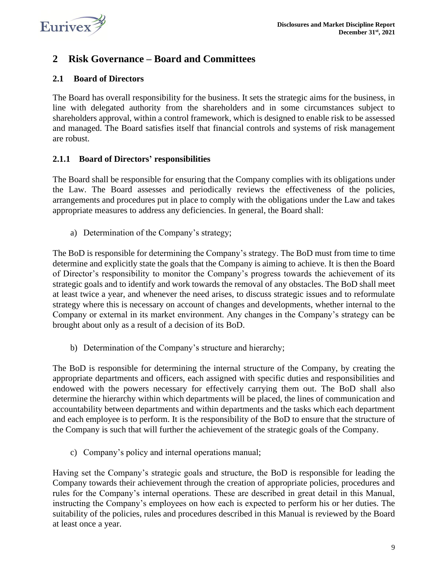

### <span id="page-8-0"></span>**2 Risk Governance – Board and Committees**

### <span id="page-8-1"></span>**2.1 Board of Directors**

The Board has overall responsibility for the business. It sets the strategic aims for the business, in line with delegated authority from the shareholders and in some circumstances subject to shareholders approval, within a control framework, which is designed to enable risk to be assessed and managed. The Board satisfies itself that financial controls and systems of risk management are robust.

### <span id="page-8-2"></span>**2.1.1 Board of Directors' responsibilities**

The Board shall be responsible for ensuring that the Company complies with its obligations under the Law. The Board assesses and periodically reviews the effectiveness of the policies, arrangements and procedures put in place to comply with the obligations under the Law and takes appropriate measures to address any deficiencies. In general, the Board shall:

a) Determination of the Company's strategy;

The BoD is responsible for determining the Company's strategy. The BoD must from time to time determine and explicitly state the goals that the Company is aiming to achieve. It is then the Board of Director's responsibility to monitor the Company's progress towards the achievement of its strategic goals and to identify and work towards the removal of any obstacles. The BoD shall meet at least twice a year, and whenever the need arises, to discuss strategic issues and to reformulate strategy where this is necessary on account of changes and developments, whether internal to the Company or external in its market environment. Any changes in the Company's strategy can be brought about only as a result of a decision of its BoD.

b) Determination of the Company's structure and hierarchy;

The BoD is responsible for determining the internal structure of the Company, by creating the appropriate departments and officers, each assigned with specific duties and responsibilities and endowed with the powers necessary for effectively carrying them out. The BoD shall also determine the hierarchy within which departments will be placed, the lines of communication and accountability between departments and within departments and the tasks which each department and each employee is to perform. It is the responsibility of the BoD to ensure that the structure of the Company is such that will further the achievement of the strategic goals of the Company.

c) Company's policy and internal operations manual;

Having set the Company's strategic goals and structure, the BoD is responsible for leading the Company towards their achievement through the creation of appropriate policies, procedures and rules for the Company's internal operations. These are described in great detail in this Manual, instructing the Company's employees on how each is expected to perform his or her duties. The suitability of the policies, rules and procedures described in this Manual is reviewed by the Board at least once a year.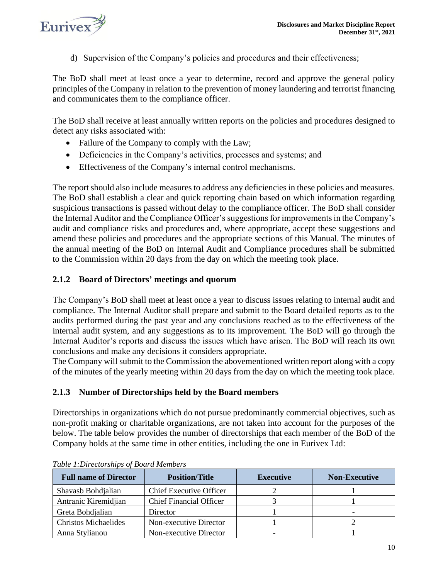

d) Supervision of the Company's policies and procedures and their effectiveness;

The BoD shall meet at least once a year to determine, record and approve the general policy principles of the Company in relation to the prevention of money laundering and terrorist financing and communicates them to the compliance officer.

The BoD shall receive at least annually written reports on the policies and procedures designed to detect any risks associated with:

- Failure of the Company to comply with the Law;
- Deficiencies in the Company's activities, processes and systems; and
- Effectiveness of the Company's internal control mechanisms.

The report should also include measures to address any deficiencies in these policies and measures. The BoD shall establish a clear and quick reporting chain based on which information regarding suspicious transactions is passed without delay to the compliance officer. The BoD shall consider the Internal Auditor and the Compliance Officer's suggestions for improvements in the Company's audit and compliance risks and procedures and, where appropriate, accept these suggestions and amend these policies and procedures and the appropriate sections of this Manual. The minutes of the annual meeting of the BoD on Internal Audit and Compliance procedures shall be submitted to the Commission within 20 days from the day on which the meeting took place.

### <span id="page-9-0"></span>**2.1.2 Board of Directors' meetings and quorum**

The Company's BoD shall meet at least once a year to discuss issues relating to internal audit and compliance. The Internal Auditor shall prepare and submit to the Board detailed reports as to the audits performed during the past year and any conclusions reached as to the effectiveness of the internal audit system, and any suggestions as to its improvement. The BoD will go through the Internal Auditor's reports and discuss the issues which have arisen. The BoD will reach its own conclusions and make any decisions it considers appropriate.

The Company will submit to the Commission the abovementioned written report along with a copy of the minutes of the yearly meeting within 20 days from the day on which the meeting took place.

### <span id="page-9-1"></span>**2.1.3 Number of Directorships held by the Board members**

Directorships in organizations which do not pursue predominantly commercial objectives, such as non-profit making or charitable organizations, are not taken into account for the purposes of the below. The table below provides the number of directorships that each member of the BoD of the Company holds at the same time in other entities, including the one in Eurivex Ltd:

| <b>Full name of Director</b> | <b>Position/Title</b>          | <b>Executive</b> | <b>Non-Executive</b> |
|------------------------------|--------------------------------|------------------|----------------------|
| Shavasb Bohdjalian           | <b>Chief Executive Officer</b> |                  |                      |
| Antranic Kiremidjian         | <b>Chief Financial Officer</b> |                  |                      |
| Greta Bohdjalian             | Director                       |                  |                      |
| <b>Christos Michaelides</b>  | Non-executive Director         |                  |                      |
| Anna Stylianou               | Non-executive Director         |                  |                      |

*Table 1:Directorships of Board Members*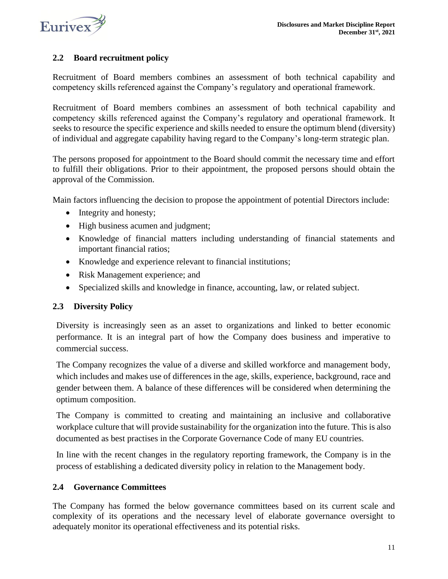

### <span id="page-10-0"></span>**2.2 Board recruitment policy**

Recruitment of Board members combines an assessment of both technical capability and competency skills referenced against the Company's regulatory and operational framework.

Recruitment of Board members combines an assessment of both technical capability and competency skills referenced against the Company's regulatory and operational framework. It seeks to resource the specific experience and skills needed to ensure the optimum blend (diversity) of individual and aggregate capability having regard to the Company's long-term strategic plan.

The persons proposed for appointment to the Board should commit the necessary time and effort to fulfill their obligations. Prior to their appointment, the proposed persons should obtain the approval of the Commission.

Main factors influencing the decision to propose the appointment of potential Directors include:

- Integrity and honesty;
- High business acumen and judgment;
- Knowledge of financial matters including understanding of financial statements and important financial ratios;
- Knowledge and experience relevant to financial institutions;
- Risk Management experience; and
- Specialized skills and knowledge in finance, accounting, law, or related subject.

### <span id="page-10-1"></span>**2.3 Diversity Policy**

Diversity is increasingly seen as an asset to organizations and linked to better economic performance. It is an integral part of how the Company does business and imperative to commercial success.

The Company recognizes the value of a diverse and skilled workforce and management body, which includes and makes use of differences in the age, skills, experience, background, race and gender between them. A balance of these differences will be considered when determining the optimum composition.

The Company is committed to creating and maintaining an inclusive and collaborative workplace culture that will provide sustainability for the organization into the future. This is also documented as best practises in the Corporate Governance Code of many EU countries.

In line with the recent changes in the regulatory reporting framework, the Company is in the process of establishing a dedicated diversity policy in relation to the Management body.

### <span id="page-10-2"></span>**2.4 Governance Committees**

The Company has formed the below governance committees based on its current scale and complexity of its operations and the necessary level of elaborate governance oversight to adequately monitor its operational effectiveness and its potential risks.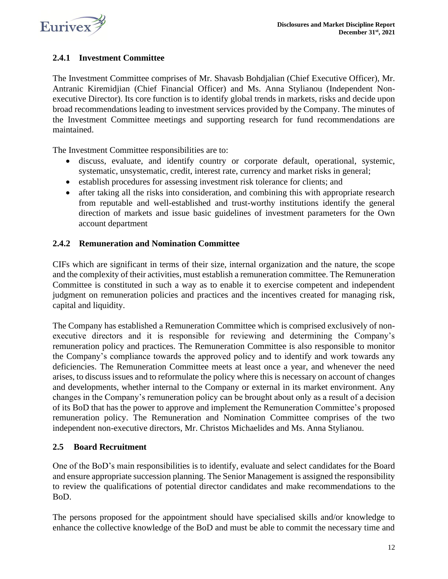

### <span id="page-11-0"></span>**2.4.1 Investment Committee**

The Investment Committee comprises of Mr. Shavasb Bohdjalian (Chief Executive Officer), Mr. Antranic Kiremidjian (Chief Financial Officer) and Ms. Anna Stylianou (Independent Nonexecutive Director). Its core function is to identify global trends in markets, risks and decide upon broad recommendations leading to investment services provided by the Company. The minutes of the Investment Committee meetings and supporting research for fund recommendations are maintained.

The Investment Committee responsibilities are to:

- discuss, evaluate, and identify country or corporate default, operational, systemic, systematic, unsystematic, credit, interest rate, currency and market risks in general;
- establish procedures for assessing investment risk tolerance for clients; and
- after taking all the risks into consideration, and combining this with appropriate research from reputable and well-established and trust-worthy institutions identify the general direction of markets and issue basic guidelines of investment parameters for the Own account department

### <span id="page-11-1"></span>**2.4.2 Remuneration and Nomination Committee**

CIFs which are significant in terms of their size, internal organization and the nature, the scope and the complexity of their activities, must establish a remuneration committee. The Remuneration Committee is constituted in such a way as to enable it to exercise competent and independent judgment on remuneration policies and practices and the incentives created for managing risk, capital and liquidity.

The Company has established a Remuneration Committee which is comprised exclusively of nonexecutive directors and it is responsible for reviewing and determining the Company's remuneration policy and practices. The Remuneration Committee is also responsible to monitor the Company's compliance towards the approved policy and to identify and work towards any deficiencies. The Remuneration Committee meets at least once a year, and whenever the need arises, to discuss issues and to reformulate the policy where this is necessary on account of changes and developments, whether internal to the Company or external in its market environment. Any changes in the Company's remuneration policy can be brought about only as a result of a decision of its BoD that has the power to approve and implement the Remuneration Committee's proposed remuneration policy. The Remuneration and Nomination Committee comprises of the two independent non-executive directors, Mr. Christos Michaelides and Ms. Anna Stylianou.

### <span id="page-11-2"></span>**2.5 Board Recruitment**

One of the BoD's main responsibilities is to identify, evaluate and select candidates for the Board and ensure appropriate succession planning. The Senior Management is assigned the responsibility to review the qualifications of potential director candidates and make recommendations to the BoD.

The persons proposed for the appointment should have specialised skills and/or knowledge to enhance the collective knowledge of the BoD and must be able to commit the necessary time and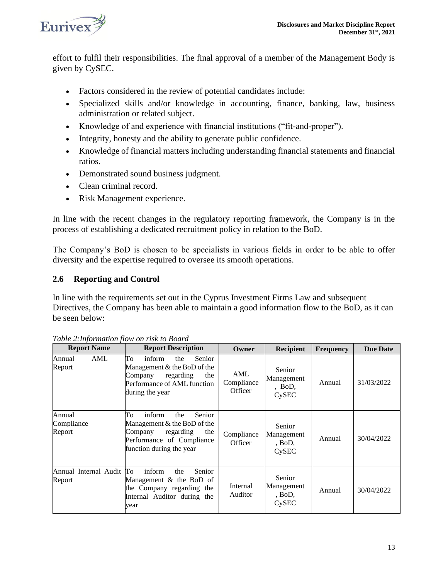

effort to fulfil their responsibilities. The final approval of a member of the Management Body is given by CySEC.

- Factors considered in the review of potential candidates include:
- Specialized skills and/or knowledge in accounting, finance, banking, law, business administration or related subject.
- Knowledge of and experience with financial institutions ("fit-and-proper").
- Integrity, honesty and the ability to generate public confidence.
- Knowledge of financial matters including understanding financial statements and financial ratios.
- Demonstrated sound business judgment.
- Clean criminal record.
- Risk Management experience.

In line with the recent changes in the regulatory reporting framework, the Company is in the process of establishing a dedicated recruitment policy in relation to the BoD.

The Company's BoD is chosen to be specialists in various fields in order to be able to offer diversity and the expertise required to oversee its smooth operations.

### <span id="page-12-0"></span>**2.6 Reporting and Control**

In line with the requirements set out in the Cyprus Investment Firms Law and subsequent Directives, the Company has been able to maintain a good information flow to the BoD, as it can be seen below:

| <b>Report Name</b>                 | <b>Report Description</b>                                                                                                                            | <b>Owner</b>                 | <b>Recipient</b>                               | <b>Frequency</b> | <b>Due Date</b> |
|------------------------------------|------------------------------------------------------------------------------------------------------------------------------------------------------|------------------------------|------------------------------------------------|------------------|-----------------|
| <b>AML</b><br>Annual<br>Report     | To<br>inform<br>Senior<br>the<br>Management & the BoD of the<br>regarding<br>the<br>Company<br>Performance of AML function<br>during the year        | AML<br>Compliance<br>Officer | Senior<br>Management<br>, BoD,<br><b>CySEC</b> | Annual           | 31/03/2022      |
| Annual<br>Compliance<br>Report     | To<br>inform<br>Senior<br>the<br>Management & the BoD of the<br>the<br>regarding<br>Company<br>Performance of Compliance<br>function during the year | Compliance<br>Officer        | Senior<br>Management<br>, Bob,<br><b>CySEC</b> | Annual           | 30/04/2022      |
| Annual Internal Audit To<br>Report | inform<br>Senior<br>the<br>Management & the BoD of<br>the Company regarding the<br>Internal Auditor during the<br>vear                               | Internal<br>Auditor          | Senior<br>Management<br>, Bob,<br>CySEC        | Annual           | 30/04/2022      |

*Table 2:Information flow on risk to Board*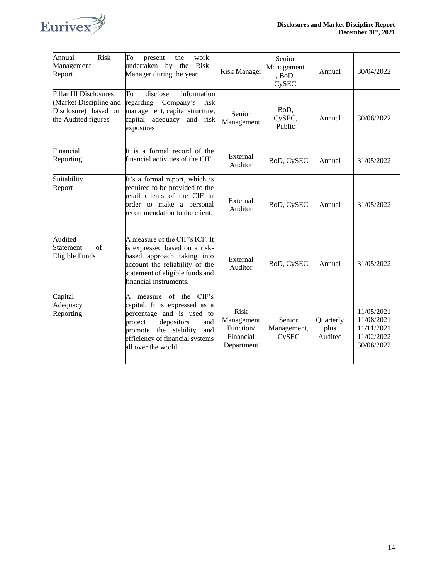

| Annual<br><b>Risk</b><br>Management<br>Report                                                   | To<br>work<br>present<br>the<br>undertaken by<br>Risk<br>the<br>Manager during the year                                                                                                                             | <b>Risk Manager</b>                                               | Senior<br>Management<br>, BoD,<br>CySEC | Annual                       | 30/04/2022                                                         |
|-------------------------------------------------------------------------------------------------|---------------------------------------------------------------------------------------------------------------------------------------------------------------------------------------------------------------------|-------------------------------------------------------------------|-----------------------------------------|------------------------------|--------------------------------------------------------------------|
| Pillar III Disclosures<br>(Market Discipline and<br>Disclosure) based on<br>the Audited figures | information<br>To<br>disclose<br>regarding Company's<br>risk<br>management, capital structure,<br>capital adequacy and risk<br>exposures                                                                            | Senior<br>Management                                              | BoD,<br>CySEC,<br>Public                | Annual                       | 30/06/2022                                                         |
| Financial<br>Reporting                                                                          | It is a formal record of the<br>financial activities of the CIF                                                                                                                                                     | External<br>Auditor                                               | BoD, CySEC                              | Annual                       | 31/05/2022                                                         |
| Suitability<br>Report                                                                           | It's a formal report, which is<br>required to be provided to the<br>retail clients of the CIF in<br>order to make a personal<br>recommendation to the client.                                                       | External<br>Auditor                                               | BoD, CySEC                              | Annual                       | 31/05/2022                                                         |
| Audited<br>Statement<br>of<br>Eligible Funds                                                    | A measure of the CIF's ICF. It<br>is expressed based on a risk-<br>based approach taking into<br>account the reliability of the<br>statement of eligible funds and<br>financial instruments.                        | External<br>Auditor                                               | BoD, CySEC                              | Annual                       | 31/05/2022                                                         |
| Capital<br>Adequacy<br>Reporting                                                                | measure of the CIF's<br>A<br>capital. It is expressed as a<br>percentage and is used to<br>depositors<br>protect<br>and<br>the stability<br>and<br>promote<br>efficiency of financial systems<br>all over the world | <b>Risk</b><br>Management<br>Function/<br>Financial<br>Department | Senior<br>Management,<br>CySEC          | Quarterly<br>plus<br>Audited | 11/05/2021<br>11/08/2021<br>11/11/2021<br>11/02/2022<br>30/06/2022 |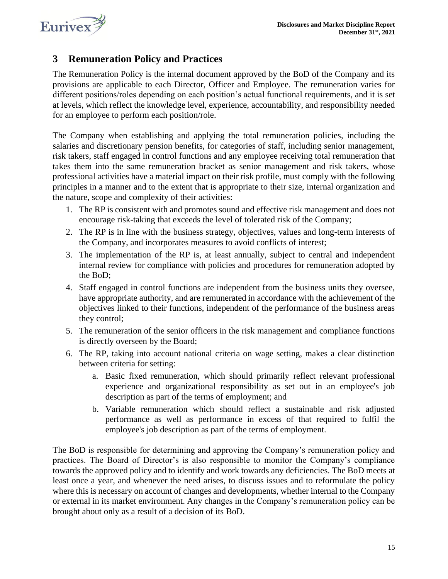

### <span id="page-14-0"></span>**3 Remuneration Policy and Practices**

The Remuneration Policy is the internal document approved by the BoD of the Company and its provisions are applicable to each Director, Officer and Employee. The remuneration varies for different positions/roles depending on each position's actual functional requirements, and it is set at levels, which reflect the knowledge level, experience, accountability, and responsibility needed for an employee to perform each position/role.

The Company when establishing and applying the total remuneration policies, including the salaries and discretionary pension benefits, for categories of staff, including senior management, risk takers, staff engaged in control functions and any employee receiving total remuneration that takes them into the same remuneration bracket as senior management and risk takers, whose professional activities have a material impact on their risk profile, must comply with the following principles in a manner and to the extent that is appropriate to their size, internal organization and the nature, scope and complexity of their activities:

- 1. The RP is consistent with and promotes sound and effective risk management and does not encourage risk-taking that exceeds the level of tolerated risk of the Company;
- 2. The RP is in line with the business strategy, objectives, values and long-term interests of the Company, and incorporates measures to avoid conflicts of interest;
- 3. The implementation of the RP is, at least annually, subject to central and independent internal review for compliance with policies and procedures for remuneration adopted by the BoD;
- 4. Staff engaged in control functions are independent from the business units they oversee, have appropriate authority, and are remunerated in accordance with the achievement of the objectives linked to their functions, independent of the performance of the business areas they control;
- 5. The remuneration of the senior officers in the risk management and compliance functions is directly overseen by the Board;
- 6. The RP, taking into account national criteria on wage setting, makes a clear distinction between criteria for setting:
	- a. Basic fixed remuneration, which should primarily reflect relevant professional experience and organizational responsibility as set out in an employee's job description as part of the terms of employment; and
	- b. Variable remuneration which should reflect a sustainable and risk adjusted performance as well as performance in excess of that required to fulfil the employee's job description as part of the terms of employment.

The BoD is responsible for determining and approving the Company's remuneration policy and practices. The Board of Director's is also responsible to monitor the Company's compliance towards the approved policy and to identify and work towards any deficiencies. The BoD meets at least once a year, and whenever the need arises, to discuss issues and to reformulate the policy where this is necessary on account of changes and developments, whether internal to the Company or external in its market environment. Any changes in the Company's remuneration policy can be brought about only as a result of a decision of its BoD.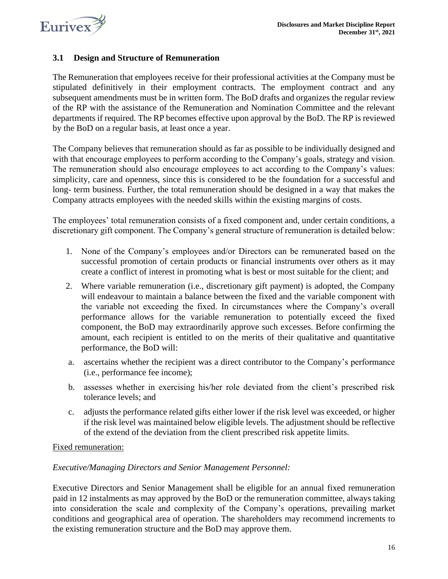

### <span id="page-15-0"></span>**3.1 Design and Structure of Remuneration**

The Remuneration that employees receive for their professional activities at the Company must be stipulated definitively in their employment contracts. The employment contract and any subsequent amendments must be in written form. The BoD drafts and organizes the regular review of the RP with the assistance of the Remuneration and Nomination Committee and the relevant departments if required. The RP becomes effective upon approval by the BoD. The RP is reviewed by the BoD on a regular basis, at least once a year.

The Company believes that remuneration should as far as possible to be individually designed and with that encourage employees to perform according to the Company's goals, strategy and vision. The remuneration should also encourage employees to act according to the Company's values: simplicity, care and openness, since this is considered to be the foundation for a successful and long- term business. Further, the total remuneration should be designed in a way that makes the Company attracts employees with the needed skills within the existing margins of costs.

The employees' total remuneration consists of a fixed component and, under certain conditions, a discretionary gift component. The Company's general structure of remuneration is detailed below:

- 1. None of the Company's employees and/or Directors can be remunerated based on the successful promotion of certain products or financial instruments over others as it may create a conflict of interest in promoting what is best or most suitable for the client; and
- 2. Where variable remuneration (i.e., discretionary gift payment) is adopted, the Company will endeavour to maintain a balance between the fixed and the variable component with the variable not exceeding the fixed. In circumstances where the Company's overall performance allows for the variable remuneration to potentially exceed the fixed component, the BoD may extraordinarily approve such excesses. Before confirming the amount, each recipient is entitled to on the merits of their qualitative and quantitative performance, the BoD will:
- a. ascertains whether the recipient was a direct contributor to the Company's performance (i.e., performance fee income);
- b. assesses whether in exercising his/her role deviated from the client's prescribed risk tolerance levels; and
- c. adjusts the performance related gifts either lower if the risk level was exceeded, or higher if the risk level was maintained below eligible levels. The adjustment should be reflective of the extend of the deviation from the client prescribed risk appetite limits.

#### Fixed remuneration:

### *Executive/Managing Directors and Senior Management Personnel:*

Executive Directors and Senior Management shall be eligible for an annual fixed remuneration paid in 12 instalments as may approved by the BoD or the remuneration committee, always taking into consideration the scale and complexity of the Company's operations, prevailing market conditions and geographical area of operation. The shareholders may recommend increments to the existing remuneration structure and the BoD may approve them.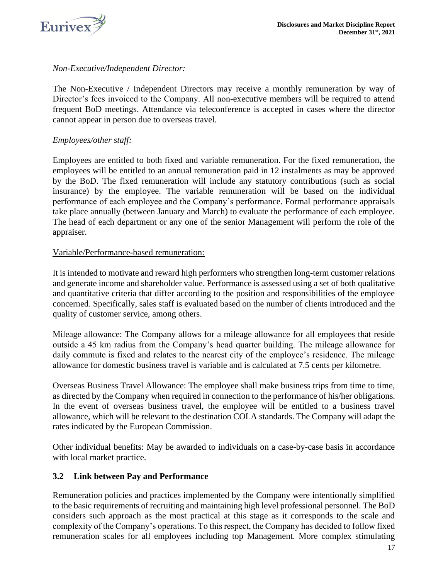

### *Non-Executive/Independent Director:*

The Non-Executive / Independent Directors may receive a monthly remuneration by way of Director's fees invoiced to the Company. All non-executive members will be required to attend frequent BoD meetings. Attendance via teleconference is accepted in cases where the director cannot appear in person due to overseas travel.

### *Employees/other staff:*

Employees are entitled to both fixed and variable remuneration. For the fixed remuneration, the employees will be entitled to an annual remuneration paid in 12 instalments as may be approved by the BoD. The fixed remuneration will include any statutory contributions (such as social insurance) by the employee. The variable remuneration will be based on the individual performance of each employee and the Company's performance. Formal performance appraisals take place annually (between January and March) to evaluate the performance of each employee. The head of each department or any one of the senior Management will perform the role of the appraiser.

#### Variable/Performance-based remuneration:

It is intended to motivate and reward high performers who strengthen long-term customer relations and generate income and shareholder value. Performance is assessed using a set of both qualitative and quantitative criteria that differ according to the position and responsibilities of the employee concerned. Specifically, sales staff is evaluated based on the number of clients introduced and the quality of customer service, among others.

Mileage allowance: The Company allows for a mileage allowance for all employees that reside outside a 45 km radius from the Company's head quarter building. The mileage allowance for daily commute is fixed and relates to the nearest city of the employee's residence. The mileage allowance for domestic business travel is variable and is calculated at 7.5 cents per kilometre.

Overseas Business Travel Allowance: The employee shall make business trips from time to time, as directed by the Company when required in connection to the performance of his/her obligations. In the event of overseas business travel, the employee will be entitled to a business travel allowance, which will be relevant to the destination COLA standards. The Company will adapt the rates indicated by the European Commission.

Other individual benefits: May be awarded to individuals on a case-by-case basis in accordance with local market practice.

### <span id="page-16-0"></span>**3.2 Link between Pay and Performance**

Remuneration policies and practices implemented by the Company were intentionally simplified to the basic requirements of recruiting and maintaining high level professional personnel. The BoD considers such approach as the most practical at this stage as it corresponds to the scale and complexity of the Company's operations. To this respect, the Company has decided to follow fixed remuneration scales for all employees including top Management. More complex stimulating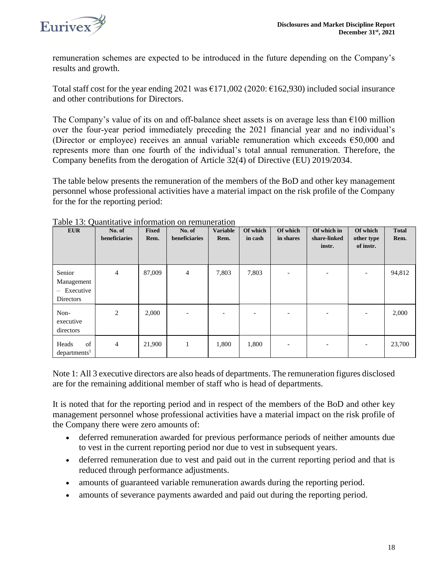

remuneration schemes are expected to be introduced in the future depending on the Company's results and growth.

Total staff cost for the year ending 2021 was  $\epsilon$ 171,002 (2020:  $\epsilon$ 162,930) included social insurance and other contributions for Directors.

The Company's value of its on and off-balance sheet assets is on average less than  $\epsilon$ 100 million over the four‐year period immediately preceding the 2021 financial year and no individual's (Director or employee) receives an annual variable remuneration which exceeds €50,000 and represents more than one fourth of the individual's total annual remuneration. Therefore, the Company benefits from the derogation of Article 32(4) of Directive (EU) 2019/2034.

The table below presents the remuneration of the members of the BoD and other key management personnel whose professional activities have a material impact on the risk profile of the Company for the for the reporting period:

| <b>EUR</b>                                                | No. of<br>beneficiaries | <b>Fixed</b><br>Rem. | No. of<br>beneficiaries | <b>Variable</b><br>Rem.  | Of which<br>in cash      | Of which<br>in shares    | Of which in<br>share-linked<br>instr. | Of which<br>other type<br>of instr. | <b>Total</b><br>Rem. |
|-----------------------------------------------------------|-------------------------|----------------------|-------------------------|--------------------------|--------------------------|--------------------------|---------------------------------------|-------------------------------------|----------------------|
| Senior<br>Management<br>$-$ Executive<br><b>Directors</b> | $\overline{4}$          | 87,009               | $\overline{4}$          | 7,803                    | 7,803                    | $\overline{\phantom{a}}$ | $\overline{\phantom{a}}$              | $\overline{\phantom{a}}$            | 94,812               |
| Non-<br>executive<br>directors                            | 2                       | 2,000                |                         | $\overline{\phantom{0}}$ | $\overline{\phantom{0}}$ |                          | $\overline{\phantom{a}}$              | $\overline{\phantom{a}}$            | 2,000                |
| of<br>Heads<br>departments <sup>1</sup>                   | $\overline{4}$          | 21,900               | $\mathbf{1}$            | 1,800                    | 1,800                    |                          |                                       |                                     | 23,700               |

Table 13: Quantitative information on remuneration

Note 1: All 3 executive directors are also heads of departments. The remuneration figures disclosed are for the remaining additional member of staff who is head of departments.

It is noted that for the reporting period and in respect of the members of the BoD and other key management personnel whose professional activities have a material impact on the risk profile of the Company there were zero amounts of:

- deferred remuneration awarded for previous performance periods of neither amounts due to vest in the current reporting period nor due to vest in subsequent years.
- deferred remuneration due to vest and paid out in the current reporting period and that is reduced through performance adjustments.
- amounts of guaranteed variable remuneration awards during the reporting period.
- amounts of severance payments awarded and paid out during the reporting period.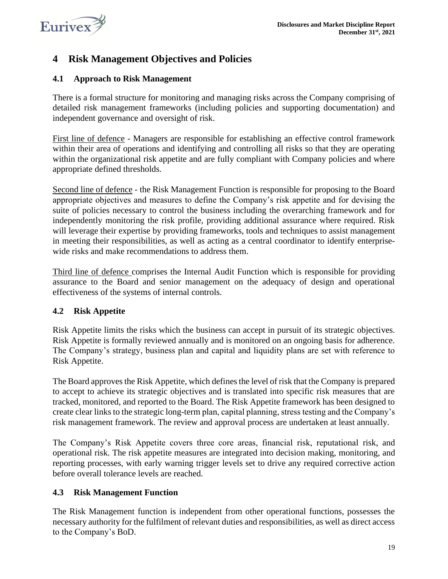

### <span id="page-18-0"></span>**4 Risk Management Objectives and Policies**

### <span id="page-18-1"></span>**4.1 Approach to Risk Management**

There is a formal structure for monitoring and managing risks across the Company comprising of detailed risk management frameworks (including policies and supporting documentation) and independent governance and oversight of risk.

First line of defence - Managers are responsible for establishing an effective control framework within their area of operations and identifying and controlling all risks so that they are operating within the organizational risk appetite and are fully compliant with Company policies and where appropriate defined thresholds.

Second line of defence - the Risk Management Function is responsible for proposing to the Board appropriate objectives and measures to define the Company's risk appetite and for devising the suite of policies necessary to control the business including the overarching framework and for independently monitoring the risk profile, providing additional assurance where required. Risk will leverage their expertise by providing frameworks, tools and techniques to assist management in meeting their responsibilities, as well as acting as a central coordinator to identify enterprisewide risks and make recommendations to address them.

Third line of defence comprises the Internal Audit Function which is responsible for providing assurance to the Board and senior management on the adequacy of design and operational effectiveness of the systems of internal controls.

### <span id="page-18-2"></span>**4.2 Risk Appetite**

Risk Appetite limits the risks which the business can accept in pursuit of its strategic objectives. Risk Appetite is formally reviewed annually and is monitored on an ongoing basis for adherence. The Company's strategy, business plan and capital and liquidity plans are set with reference to Risk Appetite.

The Board approves the Risk Appetite, which defines the level of risk that the Company is prepared to accept to achieve its strategic objectives and is translated into specific risk measures that are tracked, monitored, and reported to the Board. The Risk Appetite framework has been designed to create clear links to the strategic long-term plan, capital planning, stress testing and the Company's risk management framework. The review and approval process are undertaken at least annually.

The Company's Risk Appetite covers three core areas, financial risk, reputational risk, and operational risk. The risk appetite measures are integrated into decision making, monitoring, and reporting processes, with early warning trigger levels set to drive any required corrective action before overall tolerance levels are reached.

### <span id="page-18-3"></span>**4.3 Risk Management Function**

The Risk Management function is independent from other operational functions, possesses the necessary authority for the fulfilment of relevant duties and responsibilities, as well as direct access to the Company's BoD.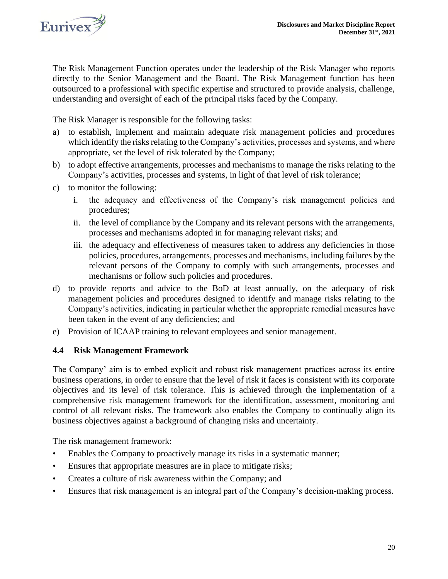

The Risk Management Function operates under the leadership of the Risk Manager who reports directly to the Senior Management and the Board. The Risk Management function has been outsourced to a professional with specific expertise and structured to provide analysis, challenge, understanding and oversight of each of the principal risks faced by the Company.

The Risk Manager is responsible for the following tasks:

- a) to establish, implement and maintain adequate risk management policies and procedures which identify the risks relating to the Company's activities, processes and systems, and where appropriate, set the level of risk tolerated by the Company;
- b) to adopt effective arrangements, processes and mechanisms to manage the risks relating to the Company's activities, processes and systems, in light of that level of risk tolerance;
- c) to monitor the following:
	- i. the adequacy and effectiveness of the Company's risk management policies and procedures;
	- ii. the level of compliance by the Company and its relevant persons with the arrangements, processes and mechanisms adopted in for managing relevant risks; and
	- iii. the adequacy and effectiveness of measures taken to address any deficiencies in those policies, procedures, arrangements, processes and mechanisms, including failures by the relevant persons of the Company to comply with such arrangements, processes and mechanisms or follow such policies and procedures.
- d) to provide reports and advice to the BoD at least annually, on the adequacy of risk management policies and procedures designed to identify and manage risks relating to the Company's activities, indicating in particular whether the appropriate remedial measures have been taken in the event of any deficiencies; and
- <span id="page-19-0"></span>e) Provision of ICAAP training to relevant employees and senior management.

### **4.4 Risk Management Framework**

The Company' aim is to embed explicit and robust risk management practices across its entire business operations, in order to ensure that the level of risk it faces is consistent with its corporate objectives and its level of risk tolerance. This is achieved through the implementation of a comprehensive risk management framework for the identification, assessment, monitoring and control of all relevant risks. The framework also enables the Company to continually align its business objectives against a background of changing risks and uncertainty.

The risk management framework:

- Enables the Company to proactively manage its risks in a systematic manner;
- Ensures that appropriate measures are in place to mitigate risks;
- Creates a culture of risk awareness within the Company; and
- Ensures that risk management is an integral part of the Company's decision-making process.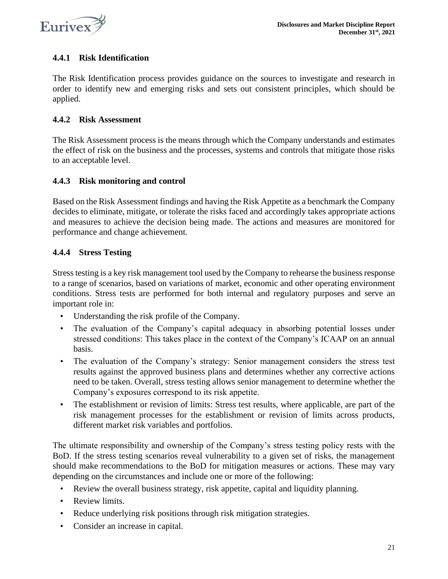

### <span id="page-20-0"></span>**4.4.1 Risk Identification**

The Risk Identification process provides guidance on the sources to investigate and research in order to identify new and emerging risks and sets out consistent principles, which should be applied.

### <span id="page-20-1"></span>**4.4.2 Risk Assessment**

The Risk Assessment process is the means through which the Company understands and estimates the effect of risk on the business and the processes, systems and controls that mitigate those risks to an acceptable level.

### <span id="page-20-2"></span>**4.4.3 Risk monitoring and control**

Based on the Risk Assessment findings and having the Risk Appetite as a benchmark the Company decides to eliminate, mitigate, or tolerate the risks faced and accordingly takes appropriate actions and measures to achieve the decision being made. The actions and measures are monitored for performance and change achievement.

### <span id="page-20-3"></span>**4.4.4 Stress Testing**

Stress testing is a key risk management tool used by the Company to rehearse the business response to a range of scenarios, based on variations of market, economic and other operating environment conditions. Stress tests are performed for both internal and regulatory purposes and serve an important role in:

- Understanding the risk profile of the Company.
- The evaluation of the Company's capital adequacy in absorbing potential losses under stressed conditions: This takes place in the context of the Company's ICAAP on an annual basis.
- The evaluation of the Company's strategy: Senior management considers the stress test results against the approved business plans and determines whether any corrective actions need to be taken. Overall, stress testing allows senior management to determine whether the Company's exposures correspond to its risk appetite.
- The establishment or revision of limits: Stress test results, where applicable, are part of the risk management processes for the establishment or revision of limits across products, different market risk variables and portfolios.

The ultimate responsibility and ownership of the Company's stress testing policy rests with the BoD. If the stress testing scenarios reveal vulnerability to a given set of risks, the management should make recommendations to the BoD for mitigation measures or actions. These may vary depending on the circumstances and include one or more of the following:

- Review the overall business strategy, risk appetite, capital and liquidity planning.
- Review limits.
- Reduce underlying risk positions through risk mitigation strategies.
- Consider an increase in capital.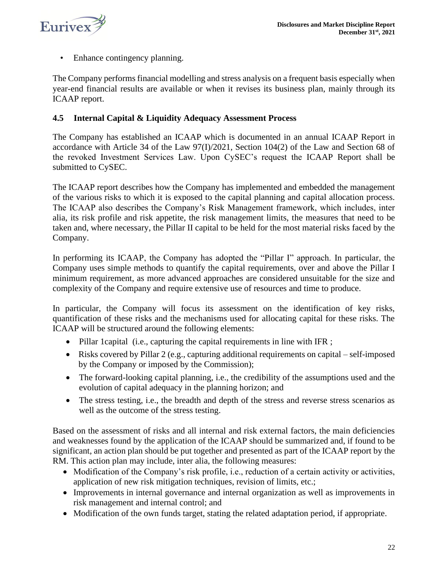

• Enhance contingency planning.

The Company performs financial modelling and stress analysis on a frequent basis especially when year-end financial results are available or when it revises its business plan, mainly through its ICAAP report.

### <span id="page-21-0"></span>**4.5 Internal Capital & Liquidity Adequacy Assessment Process**

The Company has established an ICAAP which is documented in an annual ICAAP Report in accordance with Article 34 of the Law 97(I)/2021, Section 104(2) of the Law and Section 68 of the revoked Investment Services Law. Upon CySEC's request the ICAAP Report shall be submitted to CySEC.

The ICAAP report describes how the Company has implemented and embedded the management of the various risks to which it is exposed to the capital planning and capital allocation process. The ICAAP also describes the Company's Risk Management framework, which includes, inter alia, its risk profile and risk appetite, the risk management limits, the measures that need to be taken and, where necessary, the Pillar II capital to be held for the most material risks faced by the Company.

In performing its ICAAP, the Company has adopted the "Pillar I" approach. In particular, the Company uses simple methods to quantify the capital requirements, over and above the Pillar I minimum requirement, as more advanced approaches are considered unsuitable for the size and complexity of the Company and require extensive use of resources and time to produce.

In particular, the Company will focus its assessment on the identification of key risks, quantification of these risks and the mechanisms used for allocating capital for these risks. The ICAAP will be structured around the following elements:

- Pillar 1 capital (i.e., capturing the capital requirements in line with IFR ;
- Risks covered by Pillar 2 (e.g., capturing additional requirements on capital self-imposed by the Company or imposed by the Commission);
- The forward-looking capital planning, i.e., the credibility of the assumptions used and the evolution of capital adequacy in the planning horizon; and
- The stress testing, i.e., the breadth and depth of the stress and reverse stress scenarios as well as the outcome of the stress testing.

Based on the assessment of risks and all internal and risk external factors, the main deficiencies and weaknesses found by the application of the ICAAP should be summarized and, if found to be significant, an action plan should be put together and presented as part of the ICAAP report by the RM. This action plan may include, inter alia, the following measures:

- Modification of the Company's risk profile, i.e., reduction of a certain activity or activities, application of new risk mitigation techniques, revision of limits, etc.;
- Improvements in internal governance and internal organization as well as improvements in risk management and internal control; and
- Modification of the own funds target, stating the related adaptation period, if appropriate.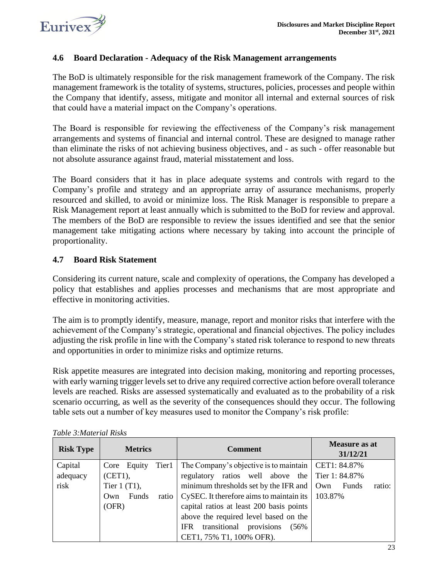

### <span id="page-22-0"></span>**4.6 Board Declaration - Adequacy of the Risk Management arrangements**

The BoD is ultimately responsible for the risk management framework of the Company. The risk management framework is the totality of systems, structures, policies, processes and people within the Company that identify, assess, mitigate and monitor all internal and external sources of risk that could have a material impact on the Company's operations.

The Board is responsible for reviewing the effectiveness of the Company's risk management arrangements and systems of financial and internal control. These are designed to manage rather than eliminate the risks of not achieving business objectives, and - as such - offer reasonable but not absolute assurance against fraud, material misstatement and loss.

The Board considers that it has in place adequate systems and controls with regard to the Company's profile and strategy and an appropriate array of assurance mechanisms, properly resourced and skilled, to avoid or minimize loss. The Risk Manager is responsible to prepare a Risk Management report at least annually which is submitted to the BoD for review and approval. The members of the BoD are responsible to review the issues identified and see that the senior management take mitigating actions where necessary by taking into account the principle of proportionality.

### <span id="page-22-1"></span>**4.7 Board Risk Statement**

Considering its current nature, scale and complexity of operations, the Company has developed a policy that establishes and applies processes and mechanisms that are most appropriate and effective in monitoring activities.

The aim is to promptly identify, measure, manage, report and monitor risks that interfere with the achievement of the Company's strategic, operational and financial objectives. The policy includes adjusting the risk profile in line with the Company's stated risk tolerance to respond to new threats and opportunities in order to minimize risks and optimize returns.

Risk appetite measures are integrated into decision making, monitoring and reporting processes, with early warning trigger levels set to drive any required corrective action before overall tolerance levels are reached. Risks are assessed systematically and evaluated as to the probability of a risk scenario occurring, as well as the severity of the consequences should they occur. The following table sets out a number of key measures used to monitor the Company's risk profile:

| <b>Risk Type</b> | <b>Metrics</b>        | <b>Comment</b>                                        | <b>Measure as at</b><br>31/12/21 |
|------------------|-----------------------|-------------------------------------------------------|----------------------------------|
| Capital          | Tier1<br>Core Equity  | The Company's objective is to maintain   CET1: 84.87% |                                  |
| adequacy         | $(CET1)$ ,            | regulatory ratios well above the Tier 1:84.87%        |                                  |
| risk             | Tier $1(T1)$ ,        | minimum thresholds set by the IFR and   Own           | ratio:<br>Funds                  |
|                  | Funds<br>Own<br>ratio | CySEC. It therefore aims to maintain its              | 103.87%                          |
|                  | (OFR)                 | capital ratios at least 200 basis points              |                                  |
|                  |                       | above the required level based on the                 |                                  |
|                  |                       | provisions<br>transitional<br><b>IFR</b><br>(56%      |                                  |
|                  |                       | CET1, 75% T1, 100% OFR).                              |                                  |

*Table 3:Material Risks*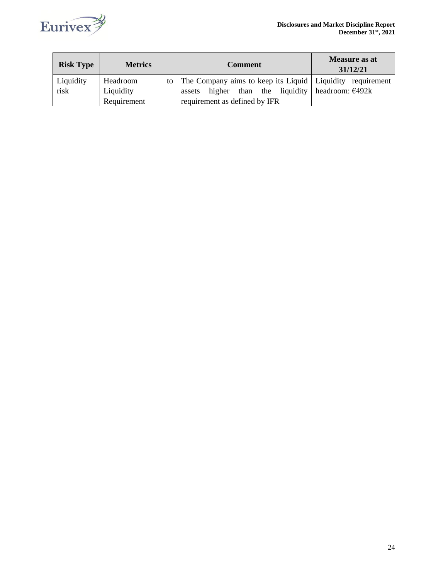

| <b>Risk Type</b> | <b>Metrics</b> | <b>Comment</b>                                                   | Measure as at<br>31/12/21 |  |
|------------------|----------------|------------------------------------------------------------------|---------------------------|--|
| Liquidity        | Headroom       | to   The Company aims to keep its Liquid   Liquidity requirement |                           |  |
| risk             | Liquidity      | than the liquidity headroom: $\epsilon$ 492k<br>higher<br>assets |                           |  |
|                  | Requirement    | requirement as defined by IFR                                    |                           |  |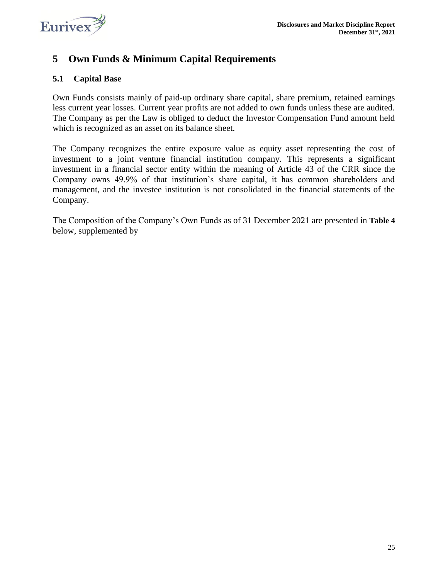

### <span id="page-24-0"></span>**5 Own Funds & Minimum Capital Requirements**

### <span id="page-24-1"></span>**5.1 Capital Base**

Own Funds consists mainly of paid-up ordinary share capital, share premium, retained earnings less current year losses. Current year profits are not added to own funds unless these are audited. The Company as per the Law is obliged to deduct the Investor Compensation Fund amount held which is recognized as an asset on its balance sheet.

The Company recognizes the entire exposure value as equity asset representing the cost of investment to a joint venture financial institution company. This represents a significant investment in a financial sector entity within the meaning of Article 43 of the CRR since the Company owns 49.9% of that institution's share capital, it has common shareholders and management, and the investee institution is not consolidated in the financial statements of the Company.

The Composition of the Company's Own Funds as of 31 December 2021 are presented in **[Table 4](#page-25-1)** below, supplemented by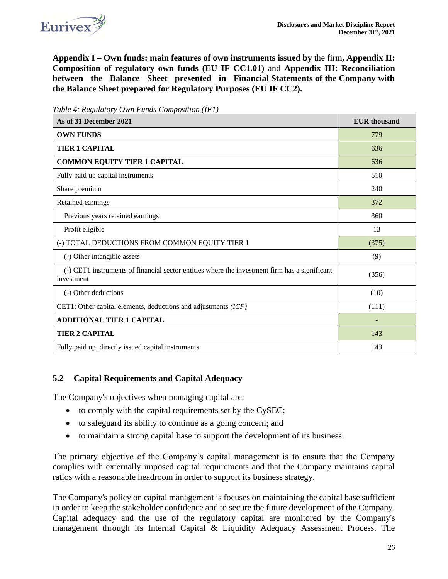

**Appendix I – [Own funds: main features of own instruments issued by](#page-33-0)** the firm**, [Appendix II:](#page-36-0)  [Composition of regulatory own funds](#page-36-0) (EU IF CC1.01)** and **[Appendix III: Reconciliation](#page-39-0)  [between the Balance Sheet presented in Financial Statements of the Company with](#page-39-0)  [the Balance Sheet prepared for Regulatory Purposes \(EU IF CC2\).](#page-39-0)** 

| As of 31 December 2021                                                                                      | <b>EUR</b> thousand |
|-------------------------------------------------------------------------------------------------------------|---------------------|
| <b>OWN FUNDS</b>                                                                                            | 779                 |
| <b>TIER 1 CAPITAL</b>                                                                                       | 636                 |
| <b>COMMON EQUITY TIER 1 CAPITAL</b>                                                                         | 636                 |
| Fully paid up capital instruments                                                                           | 510                 |
| Share premium                                                                                               | 240                 |
| Retained earnings                                                                                           | 372                 |
| Previous years retained earnings                                                                            | 360                 |
| Profit eligible                                                                                             | 13                  |
| (-) TOTAL DEDUCTIONS FROM COMMON EQUITY TIER 1                                                              | (375)               |
| (-) Other intangible assets                                                                                 | (9)                 |
| (-) CET1 instruments of financial sector entities where the investment firm has a significant<br>investment | (356)               |
| (-) Other deductions                                                                                        | (10)                |
| CET1: Other capital elements, deductions and adjustments (ICF)                                              | (111)               |
| <b>ADDITIONAL TIER 1 CAPITAL</b>                                                                            |                     |
| <b>TIER 2 CAPITAL</b>                                                                                       | 143                 |
| Fully paid up, directly issued capital instruments                                                          | 143                 |

<span id="page-25-1"></span>*Table 4: Regulatory Own Funds Composition (IF1)*

### <span id="page-25-0"></span>**5.2 Capital Requirements and Capital Adequacy**

The Company's objectives when managing capital are:

- to comply with the capital requirements set by the CySEC;
- to safeguard its ability to continue as a going concern; and
- to maintain a strong capital base to support the development of its business.

The primary objective of the Company's capital management is to ensure that the Company complies with externally imposed capital requirements and that the Company maintains capital ratios with a reasonable headroom in order to support its business strategy.

The Company's policy on capital management is focuses on maintaining the capital base sufficient in order to keep the stakeholder confidence and to secure the future development of the Company. Capital adequacy and the use of the regulatory capital are monitored by the Company's management through its Internal Capital & Liquidity Adequacy Assessment Process. The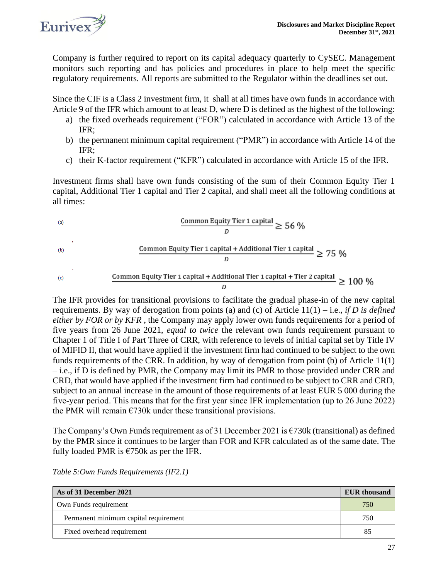

Company is further required to report on its capital adequacy quarterly to CySEC. Management monitors such reporting and has policies and procedures in place to help meet the specific regulatory requirements. All reports are submitted to the Regulator within the deadlines set out.

Since the CIF is a Class 2 investment firm, it shall at all times have own funds in accordance with Article 9 of the IFR which amount to at least D, where D is defined as the highest of the following:

- a) the fixed overheads requirement ("FOR") calculated in accordance with Article 13 of the IFR;
- b) the permanent minimum capital requirement ("PMR") in accordance with Article 14 of the IFR;
- c) their K‐factor requirement ("KFR") calculated in accordance with Article 15 of the IFR.

Investment firms shall have own funds consisting of the sum of their Common Equity Tier 1 capital, Additional Tier 1 capital and Tier 2 capital, and shall meet all the following conditions at all times:

(a)

\nCommon Equity Tier 1 capital 
$$
\geq 56 \%
$$

\n(b)

\nCommon Equity Tier 1 capital + Additional Tier 1 capital  $\geq 75 \%$ 

\n(c)

\nCommon Equity Tier 1 capital + Additional Tier 1 capital + Tier 2 capital  $\geq 100 \%$ 

The IFR provides for transitional provisions to facilitate the gradual phase-in of the new capital requirements. By way of derogation from points (a) and (c) of Article 11(1) – i.e., *if D is defined either by FOR or by KFR* , the Company may apply lower own funds requirements for a period of five years from 26 June 2021, *equal to twice* the relevant own funds requirement pursuant to Chapter 1 of Title I of Part Three of CRR, with reference to levels of initial capital set by Title IV of MIFID II, that would have applied if the investment firm had continued to be subject to the own funds requirements of the CRR. In addition, by way of derogation from point (b) of Article 11(1) – i.e., if D is defined by PMR, the Company may limit its PMR to those provided under CRR and CRD, that would have applied if the investment firm had continued to be subject to CRR and CRD, subject to an annual increase in the amount of those requirements of at least EUR 5 000 during the five‐year period. This means that for the first year since IFR implementation (up to 26 June 2022) the PMR will remain  $\epsilon$ 730k under these transitional provisions.

The Company's Own Funds requirement as of 31 December 2021 is  $\epsilon$ 730k (transitional) as defined by the PMR since it continues to be larger than FOR and KFR calculated as of the same date. The fully loaded PMR is  $\epsilon$ 750k as per the IFR.

| As of 31 December 2021                | <b>EUR</b> thousand |
|---------------------------------------|---------------------|
| Own Funds requirement                 | 750                 |
| Permanent minimum capital requirement | 750                 |
| Fixed overhead requirement            | 85                  |

*Table 5:Own Funds Requirements (IF2.1)*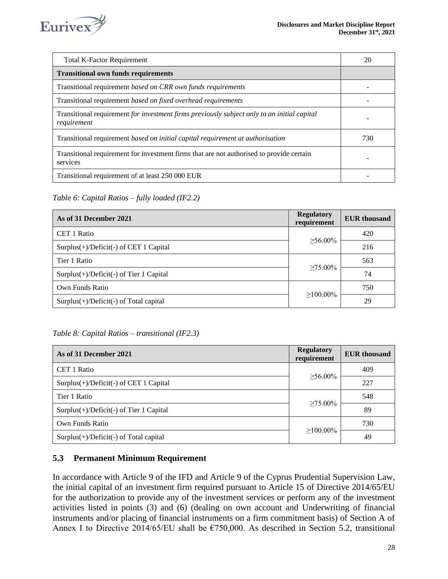

| <b>Total K-Factor Requirement</b>                                                                          | 20  |
|------------------------------------------------------------------------------------------------------------|-----|
| <b>Transitional own funds requirements</b>                                                                 |     |
| Transitional requirement based on CRR own funds requirements                                               |     |
| Transitional requirement based on fixed overhead requirements                                              |     |
| Transitional requirement for investment firms previously subject only to an initial capital<br>requirement |     |
| Transitional requirement based on initial capital requirement at authorisation                             | 730 |
| Transitional requirement for investment firms that are not authorised to provide certain<br>services       |     |
| Transitional requirement of at least 250 000 EUR                                                           |     |

*Table 6: Capital Ratios – fully loaded (IF2.2)*

| As of 31 December 2021                        | <b>Regulatory</b><br>requirement | <b>EUR</b> thousand |
|-----------------------------------------------|----------------------------------|---------------------|
| CET 1 Ratio                                   | $>56.00\%$                       | 420                 |
| Surplus $(+)$ /Deficit $(-)$ of CET 1 Capital |                                  | 216                 |
| Tier 1 Ratio                                  |                                  | 563                 |
| $Surplus(+)/Deficit(-)$ of Tier 1 Capital     | $\geq 75.00\%$                   | 74                  |
| Own Funds Ratio                               |                                  |                     |
| $Surplus(+)/Deficit(-)$ of Total capital      | $>100.00\%$                      | 29                  |

### *Table 8: Capital Ratios – transitional (IF2.3)*

| As of 31 December 2021                    | <b>Regulatory</b><br>requirement | <b>EUR</b> thousand |
|-------------------------------------------|----------------------------------|---------------------|
| CET 1 Ratio                               | $>56.00\%$                       | 409                 |
| $Surplus(+)/Deficit(-)$ of CET 1 Capital  |                                  | 227                 |
| Tier 1 Ratio                              |                                  | 548                 |
| $Surplus(+)/Deficit(-)$ of Tier 1 Capital | $>75.00\%$                       | 89                  |
| Own Funds Ratio                           | $>100.00\%$                      |                     |
| $Surplus(+)/Deficit(-)$ of Total capital  |                                  | 49                  |

### <span id="page-27-0"></span>**5.3 Permanent Minimum Requirement**

In accordance with Article 9 of the IFD and Article 9 of the Cyprus Prudential Supervision Law, the initial capital of an investment firm required pursuant to Article 15 of Directive 2014/65/EU for the authorization to provide any of the investment services or perform any of the investment activities listed in points (3) and (6) (dealing on own account and Underwriting of financial instruments and/or placing of financial instruments on a firm commitment basis) of Section A of Annex I to Directive 2014/65/EU shall be  $\epsilon$ 750,000. As described in Section 5.2, transitional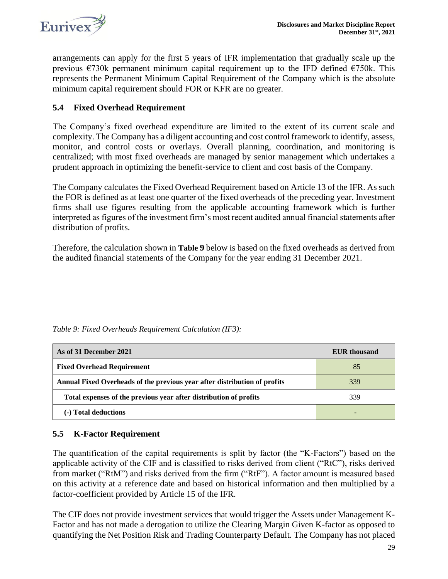

arrangements can apply for the first 5 years of IFR implementation that gradually scale up the previous  $\epsilon$ 730k permanent minimum capital requirement up to the IFD defined  $\epsilon$ 750k. This represents the Permanent Minimum Capital Requirement of the Company which is the absolute minimum capital requirement should FOR or KFR are no greater.

### <span id="page-28-0"></span>**5.4 Fixed Overhead Requirement**

The Company's fixed overhead expenditure are limited to the extent of its current scale and complexity. The Company has a diligent accounting and cost control framework to identify, assess, monitor, and control costs or overlays. Overall planning, coordination, and monitoring is centralized; with most fixed overheads are managed by senior management which undertakes a prudent approach in optimizing the benefit-service to client and cost basis of the Company.

The Company calculates the Fixed Overhead Requirement based on Article 13 of the IFR. As such the FOR is defined as at least one quarter of the fixed overheads of the preceding year. Investment firms shall use figures resulting from the applicable accounting framework which is further interpreted as figures of the investment firm's most recent audited annual financial statements after distribution of profits.

Therefore, the calculation shown in **[Table](#page-28-2) 9** below is based on the fixed overheads as derived from the audited financial statements of the Company for the year ending 31 December 2021.

| As of 31 December 2021                                                    | <b>EUR</b> thousand |
|---------------------------------------------------------------------------|---------------------|
| <b>Fixed Overhead Requirement</b>                                         | 85                  |
| Annual Fixed Overheads of the previous year after distribution of profits | 339                 |
| Total expenses of the previous year after distribution of profits         | 339                 |
| (-) Total deductions                                                      |                     |

<span id="page-28-2"></span>*Table 9: Fixed Overheads Requirement Calculation (IF3):*

### <span id="page-28-1"></span>**5.5 K-Factor Requirement**

The quantification of the capital requirements is split by factor (the "K-Factors") based on the applicable activity of the CIF and is classified to risks derived from client ("RtC"), risks derived from market ("RtM") and risks derived from the firm ("RtF"). A factor amount is measured based on this activity at a reference date and based on historical information and then multiplied by a factor-coefficient provided by Article 15 of the IFR.

The CIF does not provide investment services that would trigger the Assets under Management K-Factor and has not made a derogation to utilize the Clearing Margin Given K-factor as opposed to quantifying the Net Position Risk and Trading Counterparty Default. The Company has not placed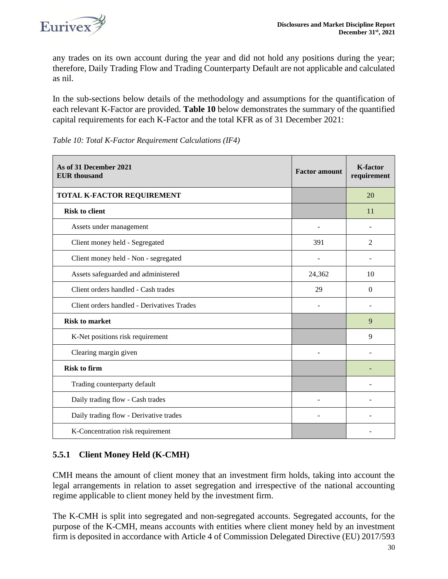

any trades on its own account during the year and did not hold any positions during the year; therefore, Daily Trading Flow and Trading Counterparty Default are not applicable and calculated as nil.

In the sub-sections below details of the methodology and assumptions for the quantification of each relevant K-Factor are provided. **[Table 1](#page-29-1)0** below demonstrates the summary of the quantified capital requirements for each K-Factor and the total KFR as of 31 December 2021:

| As of 31 December 2021<br><b>EUR</b> thousand | <b>Factor amount</b> | <b>K-factor</b><br>requirement |
|-----------------------------------------------|----------------------|--------------------------------|
| TOTAL K-FACTOR REQUIREMENT                    |                      | 20                             |
| <b>Risk to client</b>                         |                      | 11                             |
| Assets under management                       | $\blacksquare$       | $\overline{a}$                 |
| Client money held - Segregated                | 391                  | 2                              |
| Client money held - Non - segregated          |                      |                                |
| Assets safeguarded and administered           | 24,362               | 10                             |
| Client orders handled - Cash trades           | 29                   | $\Omega$                       |
| Client orders handled - Derivatives Trades    |                      |                                |
| <b>Risk to market</b>                         |                      | 9                              |
| K-Net positions risk requirement              |                      | 9                              |
| Clearing margin given                         |                      |                                |
| <b>Risk to firm</b>                           |                      |                                |
| Trading counterparty default                  |                      |                                |
| Daily trading flow - Cash trades              | $\overline{a}$       |                                |
| Daily trading flow - Derivative trades        |                      |                                |
| K-Concentration risk requirement              |                      |                                |

<span id="page-29-1"></span>*Table 10: Total K-Factor Requirement Calculations (IF4)*

### <span id="page-29-0"></span>**5.5.1 Client Money Held (K-CMH)**

CMH means the amount of client money that an investment firm holds, taking into account the legal arrangements in relation to asset segregation and irrespective of the national accounting regime applicable to client money held by the investment firm.

The K-CMH is split into segregated and non-segregated accounts. Segregated accounts, for the purpose of the K-CMH, means accounts with entities where client money held by an investment firm is deposited in accordance with Article 4 of Commission Delegated Directive (EU) 2017/593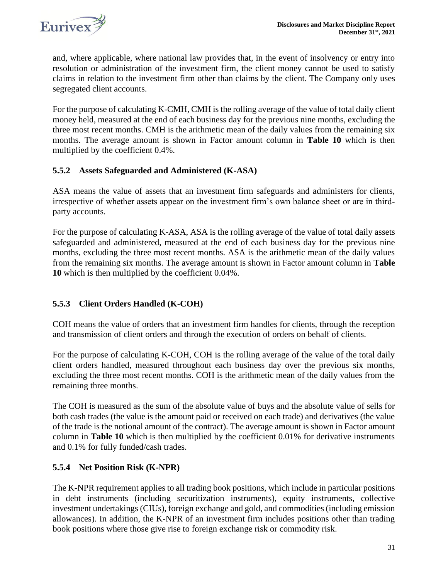and, where applicable, where national law provides that, in the event of insolvency or entry into resolution or administration of the investment firm, the client money cannot be used to satisfy claims in relation to the investment firm other than claims by the client. The Company only uses segregated client accounts.

For the purpose of calculating K‐CMH, CMH is the rolling average of the value of total daily client money held, measured at the end of each business day for the previous nine months, excluding the three most recent months. CMH is the arithmetic mean of the daily values from the remaining six months. The average amount is shown in Factor amount column in **[Table 1](#page-29-1)0** which is then multiplied by the coefficient 0.4%.

### <span id="page-30-0"></span>**5.5.2 Assets Safeguarded and Administered (K-ASA)**

ASA means the value of assets that an investment firm safeguards and administers for clients, irrespective of whether assets appear on the investment firm's own balance sheet or are in third‐ party accounts.

For the purpose of calculating K‐ASA, ASA is the rolling average of the value of total daily assets safeguarded and administered, measured at the end of each business day for the previous nine months, excluding the three most recent months. ASA is the arithmetic mean of the daily values from the remaining six months. The average amount is shown in Factor amount column in **[Table](#page-29-1)  10** which is then multiplied by the coefficient 0.04%.

### <span id="page-30-1"></span>**5.5.3 Client Orders Handled (K-COH)**

COH means the value of orders that an investment firm handles for clients, through the reception and transmission of client orders and through the execution of orders on behalf of clients.

For the purpose of calculating K–COH, COH is the rolling average of the value of the total daily client orders handled, measured throughout each business day over the previous six months, excluding the three most recent months. COH is the arithmetic mean of the daily values from the remaining three months.

The COH is measured as the sum of the absolute value of buys and the absolute value of sells for both cash trades (the value is the amount paid or received on each trade) and derivatives (the value of the trade is the notional amount of the contract). The average amount is shown in Factor amount column in **[Table 1](#page-29-1)0** which is then multiplied by the coefficient 0.01% for derivative instruments and 0.1% for fully funded/cash trades.

### <span id="page-30-2"></span>**5.5.4 Net Position Risk (K-NPR)**

The K-NPR requirement applies to all trading book positions, which include in particular positions in debt instruments (including securitization instruments), equity instruments, collective investment undertakings (CIUs), foreign exchange and gold, and commodities (including emission allowances). In addition, the K-NPR of an investment firm includes positions other than trading book positions where those give rise to foreign exchange risk or commodity risk.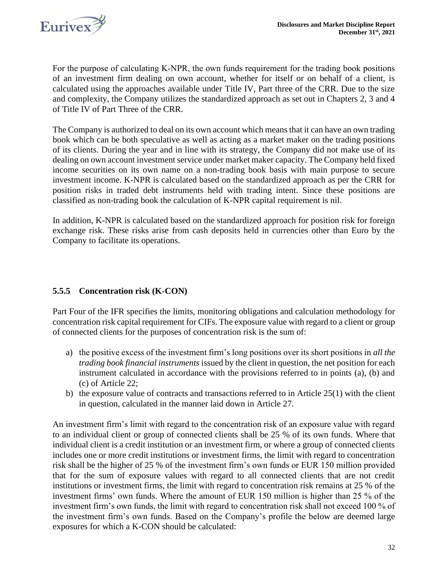

For the purpose of calculating K-NPR, the own funds requirement for the trading book positions of an investment firm dealing on own account, whether for itself or on behalf of a client, is calculated using the approaches available under Title IV, Part three of the CRR. Due to the size and complexity, the Company utilizes the standardized approach as set out in Chapters 2, 3 and 4 of Title IV of Part Three of the CRR.

The Company is authorized to deal on its own account which means that it can have an own trading book which can be both speculative as well as acting as a market maker on the trading positions of its clients. During the year and in line with its strategy, the Company did not make use of its dealing on own account investment service under market maker capacity. The Company held fixed income securities on its own name on a non-trading book basis with main purpose to secure investment income. K-NPR is calculated based on the standardized approach as per the CRR for position risks in traded debt instruments held with trading intent. Since these positions are classified as non-trading book the calculation of K-NPR capital requirement is nil.

In addition, K-NPR is calculated based on the standardized approach for position risk for foreign exchange risk. These risks arise from cash deposits held in currencies other than Euro by the Company to facilitate its operations.

### <span id="page-31-0"></span>**5.5.5 Concentration risk (K-CON)**

Part Four of the IFR specifies the limits, monitoring obligations and calculation methodology for concentration risk capital requirement for CIFs. The exposure value with regard to a client or group of connected clients for the purposes of concentration risk is the sum of:

- a) the positive excess of the investment firm's long positions over its short positions in *all the trading book financial instruments* issued by the client in question, the net position for each instrument calculated in accordance with the provisions referred to in points (a), (b) and (c) of Article 22;
- b) the exposure value of contracts and transactions referred to in Article 25(1) with the client in question, calculated in the manner laid down in Article 27.

An investment firm's limit with regard to the concentration risk of an exposure value with regard to an individual client or group of connected clients shall be 25 % of its own funds. Where that individual client is a credit institution or an investment firm, or where a group of connected clients includes one or more credit institutions or investment firms, the limit with regard to concentration risk shall be the higher of 25 % of the investment firm's own funds or EUR 150 million provided that for the sum of exposure values with regard to all connected clients that are not credit institutions or investment firms, the limit with regard to concentration risk remains at 25 % of the investment firms' own funds. Where the amount of EUR 150 million is higher than 25 % of the investment firm's own funds, the limit with regard to concentration risk shall not exceed 100 % of the investment firm's own funds. Based on the Company's profile the below are deemed large exposures for which a K-CON should be calculated: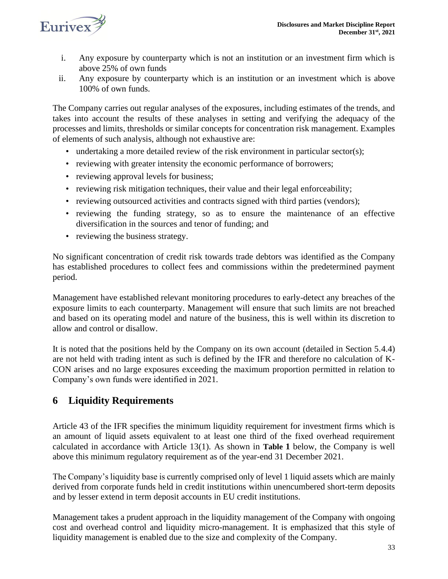

- i. Any exposure by counterparty which is not an institution or an investment firm which is above 25% of own funds
- ii. Any exposure by counterparty which is an institution or an investment which is above 100% of own funds.

The Company carries out regular analyses of the exposures, including estimates of the trends, and takes into account the results of these analyses in setting and verifying the adequacy of the processes and limits, thresholds or similar concepts for concentration risk management. Examples of elements of such analysis, although not exhaustive are:

- undertaking a more detailed review of the risk environment in particular sector(s);
- reviewing with greater intensity the economic performance of borrowers;
- reviewing approval levels for business;
- reviewing risk mitigation techniques, their value and their legal enforceability;
- reviewing outsourced activities and contracts signed with third parties (vendors);
- reviewing the funding strategy, so as to ensure the maintenance of an effective diversification in the sources and tenor of funding; and
- reviewing the business strategy.

No significant concentration of credit risk towards trade debtors was identified as the Company has established procedures to collect fees and commissions within the predetermined payment period.

Management have established relevant monitoring procedures to early-detect any breaches of the exposure limits to each counterparty. Management will ensure that such limits are not breached and based on its operating model and nature of the business, this is well within its discretion to allow and control or disallow.

It is noted that the positions held by the Company on its own account (detailed in Section 5.4.4) are not held with trading intent as such is defined by the IFR and therefore no calculation of K-CON arises and no large exposures exceeding the maximum proportion permitted in relation to Company's own funds were identified in 2021.

### <span id="page-32-0"></span>**6 Liquidity Requirements**

Article 43 of the IFR specifies the minimum liquidity requirement for investment firms which is an amount of liquid assets equivalent to at least one third of the fixed overhead requirement calculated in accordance with Article 13(1). As shown in **[Table](#page-33-1) 1** below, the Company is well above this minimum regulatory requirement as of the year-end 31 December 2021.

The Company's liquidity base is currently comprised only of level 1 liquid assets which are mainly derived from corporate funds held in credit institutions within unencumbered short-term deposits and by lesser extend in term deposit accounts in EU credit institutions.

Management takes a prudent approach in the liquidity management of the Company with ongoing cost and overhead control and liquidity micro-management. It is emphasized that this style of liquidity management is enabled due to the size and complexity of the Company.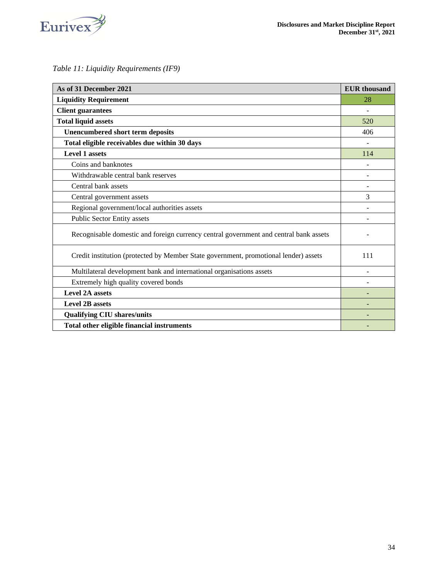

### <span id="page-33-1"></span>*Table 11: Liquidity Requirements (IF9)*

<span id="page-33-0"></span>

| As of 31 December 2021                                                                | <b>EUR</b> thousand |
|---------------------------------------------------------------------------------------|---------------------|
| <b>Liquidity Requirement</b>                                                          | 28                  |
| <b>Client guarantees</b>                                                              |                     |
| <b>Total liquid assets</b>                                                            | 520                 |
| <b>Unencumbered short term deposits</b>                                               | 406                 |
| Total eligible receivables due within 30 days                                         |                     |
| <b>Level 1 assets</b>                                                                 | 114                 |
| Coins and banknotes                                                                   |                     |
| Withdrawable central bank reserves                                                    |                     |
| Central bank assets                                                                   |                     |
| Central government assets                                                             | 3                   |
| Regional government/local authorities assets                                          |                     |
| Public Sector Entity assets                                                           |                     |
| Recognisable domestic and foreign currency central government and central bank assets |                     |
| Credit institution (protected by Member State government, promotional lender) assets  | 111                 |
| Multilateral development bank and international organisations assets                  |                     |
| Extremely high quality covered bonds                                                  |                     |
| <b>Level 2A assets</b>                                                                |                     |
| <b>Level 2B assets</b>                                                                |                     |
| <b>Qualifying CIU shares/units</b>                                                    |                     |
| Total other eligible financial instruments                                            |                     |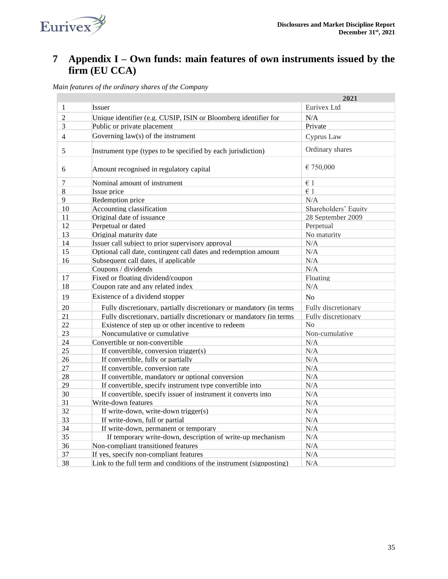

## <span id="page-34-0"></span>**7 Appendix I – Own funds: main features of own instruments issued by the firm (EU CCA)**

*Main features of the ordinary shares of the Company*

|                |                                                                      | 2021                 |
|----------------|----------------------------------------------------------------------|----------------------|
| 1              | Issuer                                                               | Eurivex Ltd          |
| $\overline{2}$ | Unique identifier (e.g. CUSIP, ISIN or Bloomberg identifier for      | N/A                  |
| 3              | Public or private placement                                          | Private              |
| $\overline{4}$ | Governing $law(s)$ of the instrument                                 | Cyprus Law           |
| 5              | Instrument type (types to be specified by each jurisdiction)         | Ordinary shares      |
| 6              | Amount recognised in regulatory capital                              | € 750,000            |
| 7              | Nominal amount of instrument                                         | $\epsilon$ 1         |
| 8              | Issue price                                                          | $\in$ 1              |
| 9              | Redemption price                                                     | N/A                  |
| 10             | Accounting classification                                            | Shareholders' Equity |
| 11             | Original date of issuance                                            | 28 September 2009    |
| 12             | Perpetual or dated                                                   | Perpetual            |
| 13             | Original maturity date                                               | No maturity          |
| 14             | Issuer call subject to prior supervisory approval                    | N/A                  |
| 15             | Optional call date, contingent call dates and redemption amount      | N/A                  |
| 16             | Subsequent call dates, if applicable                                 | N/A                  |
|                | Coupons / dividends                                                  | N/A                  |
| 17             | Fixed or floating dividend/coupon                                    | Floating             |
| 18             | Coupon rate and any related index                                    | N/A                  |
| 19             | Existence of a dividend stopper                                      | No                   |
| 20             | Fully discretionary, partially discretionary or mandatory (in terms  | Fully discretionary  |
| 21             | Fully discretionary, partially discretionary or mandatory (in terms  | Fully discretionary  |
| 22             | Existence of step up or other incentive to redeem                    | No                   |
| 23             | Noncumulative or cumulative                                          | Non-cumulative       |
| 24             | Convertible or non-convertible                                       | N/A                  |
| 25             | If convertible, conversion trigger(s)                                | N/A                  |
| 26             | If convertible, fully or partially                                   | N/A                  |
| 27             | If convertible, conversion rate                                      | N/A                  |
| 28             | If convertible, mandatory or optional conversion                     | N/A                  |
| 29             | If convertible, specify instrument type convertible into             | N/A                  |
| 30             | If convertible, specify issuer of instrument it converts into        | N/A                  |
| 31             | Write-down features                                                  | N/A                  |
| 32             | If write-down, write-down trigger(s)                                 | N/A                  |
| 33             | If write-down, full or partial                                       | N/A                  |
| 34             | If write-down, permanent or temporary                                | N/A                  |
| 35             | If temporary write-down, description of write-up mechanism           | N/A                  |
| 36             | Non-compliant transitioned features                                  | N/A                  |
| 37             | If yes, specify non-compliant features                               | N/A                  |
| 38             | Link to the full term and conditions of the instrument (signposting) | N/A                  |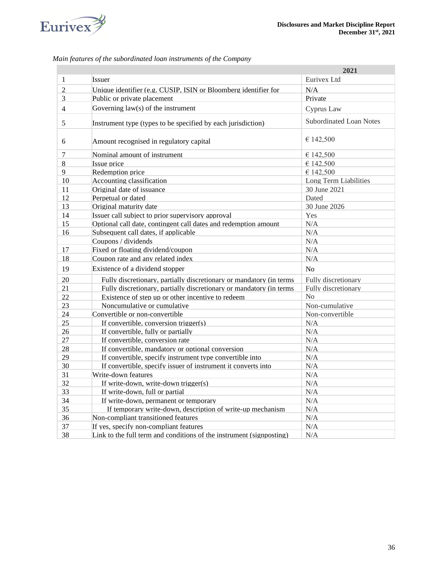

|                          |                                                                      | 2021                           |
|--------------------------|----------------------------------------------------------------------|--------------------------------|
| 1                        | Issuer                                                               | Eurivex Ltd                    |
| $\overline{2}$           | Unique identifier (e.g. CUSIP, ISIN or Bloomberg identifier for      | N/A                            |
| 3                        | Public or private placement                                          | Private                        |
| $\overline{\mathcal{L}}$ | Governing law(s) of the instrument                                   | Cyprus Law                     |
| 5                        | Instrument type (types to be specified by each jurisdiction)         | <b>Subordinated Loan Notes</b> |
| 6                        | Amount recognised in regulatory capital                              | € 142,500                      |
| 7                        | Nominal amount of instrument                                         | € 142,500                      |
| 8                        | Issue price                                                          | € 142,500                      |
| 9                        | Redemption price                                                     | € 142,500                      |
| 10                       | Accounting classification                                            | Long Term Liabilities          |
| 11                       | Original date of issuance                                            | 30 June 2021                   |
| 12                       | Perpetual or dated                                                   | Dated                          |
| 13                       | Original maturity date                                               | 30 June 2026                   |
| 14                       | Issuer call subject to prior supervisory approval                    | Yes                            |
| 15                       | Optional call date, contingent call dates and redemption amount      | N/A                            |
| 16                       | Subsequent call dates, if applicable                                 | N/A                            |
|                          | Coupons / dividends                                                  | N/A                            |
| 17                       | Fixed or floating dividend/coupon                                    | N/A                            |
| 18                       | Coupon rate and any related index                                    | N/A                            |
| 19                       | Existence of a dividend stopper                                      | N <sub>o</sub>                 |
| 20                       | Fully discretionary, partially discretionary or mandatory (in terms  | Fully discretionary            |
| 21                       | Fully discretionary, partially discretionary or mandatory (in terms  | Fully discretionary            |
| 22                       | Existence of step up or other incentive to redeem                    | No                             |
| 23                       | Noncumulative or cumulative                                          | Non-cumulative                 |
| 24                       | Convertible or non-convertible                                       | Non-convertible                |
| 25                       | If convertible, conversion trigger(s)                                | N/A                            |
| 26                       | If convertible, fully or partially                                   | N/A                            |
| 27                       | If convertible, conversion rate                                      | N/A                            |
| 28                       | If convertible, mandatory or optional conversion                     | N/A                            |
| 29                       | If convertible, specify instrument type convertible into             | N/A                            |
| 30                       | If convertible, specify issuer of instrument it converts into        | N/A                            |
| 31                       | Write-down features                                                  | N/A                            |
| 32                       | If write-down, write-down trigger(s)                                 | N/A                            |
| 33                       | If write-down, full or partial                                       | N/A                            |
| 34                       | If write-down, permanent or temporary                                | N/A                            |
| 35                       | If temporary write-down, description of write-up mechanism           | N/A                            |
| 36                       | Non-compliant transitioned features                                  | N/A                            |
| 37                       | If yes, specify non-compliant features                               | N/A                            |
| 38                       | Link to the full term and conditions of the instrument (signposting) | N/A                            |

*Main features of the subordinated loan instruments of the Company*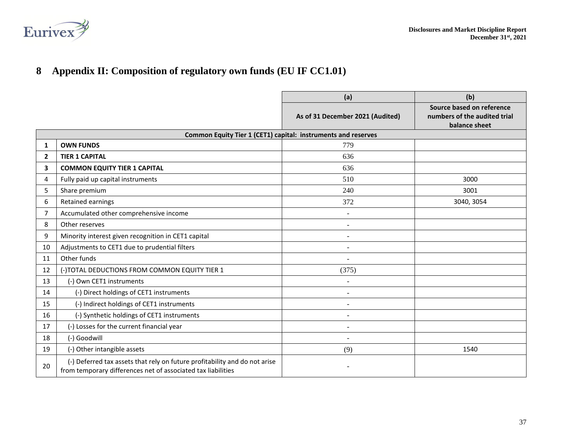

## **Appendix II: Composition of regulatory own funds (EU IF CC1.01)**

<span id="page-36-0"></span>

|              |                                                                                                                                            | (a)                              | (b)                                                                        |
|--------------|--------------------------------------------------------------------------------------------------------------------------------------------|----------------------------------|----------------------------------------------------------------------------|
|              |                                                                                                                                            | As of 31 December 2021 (Audited) | Source based on reference<br>numbers of the audited trial<br>balance sheet |
|              | Common Equity Tier 1 (CET1) capital: instruments and reserves                                                                              |                                  |                                                                            |
| 1            | <b>OWN FUNDS</b>                                                                                                                           | 779                              |                                                                            |
| $\mathbf{2}$ | <b>TIER 1 CAPITAL</b>                                                                                                                      | 636                              |                                                                            |
| 3            | <b>COMMON EQUITY TIER 1 CAPITAL</b>                                                                                                        | 636                              |                                                                            |
| 4            | Fully paid up capital instruments                                                                                                          | 510                              | 3000                                                                       |
| 5            | Share premium                                                                                                                              | 240                              | 3001                                                                       |
| 6            | Retained earnings                                                                                                                          | 372                              | 3040, 3054                                                                 |
| 7            | Accumulated other comprehensive income                                                                                                     |                                  |                                                                            |
| 8            | Other reserves                                                                                                                             |                                  |                                                                            |
| 9            | Minority interest given recognition in CET1 capital                                                                                        |                                  |                                                                            |
| 10           | Adjustments to CET1 due to prudential filters                                                                                              |                                  |                                                                            |
| 11           | Other funds                                                                                                                                |                                  |                                                                            |
| 12           | (-)TOTAL DEDUCTIONS FROM COMMON EQUITY TIER 1                                                                                              | (375)                            |                                                                            |
| 13           | (-) Own CET1 instruments                                                                                                                   | $\sim$                           |                                                                            |
| 14           | (-) Direct holdings of CET1 instruments                                                                                                    |                                  |                                                                            |
| 15           | (-) Indirect holdings of CET1 instruments                                                                                                  | $\overline{\phantom{a}}$         |                                                                            |
| 16           | (-) Synthetic holdings of CET1 instruments                                                                                                 | $\sim$                           |                                                                            |
| 17           | (-) Losses for the current financial year                                                                                                  | $\overline{\phantom{a}}$         |                                                                            |
| 18           | (-) Goodwill                                                                                                                               | $\overline{\phantom{a}}$         |                                                                            |
| 19           | (-) Other intangible assets                                                                                                                | (9)                              | 1540                                                                       |
| 20           | (-) Deferred tax assets that rely on future profitability and do not arise<br>from temporary differences net of associated tax liabilities |                                  |                                                                            |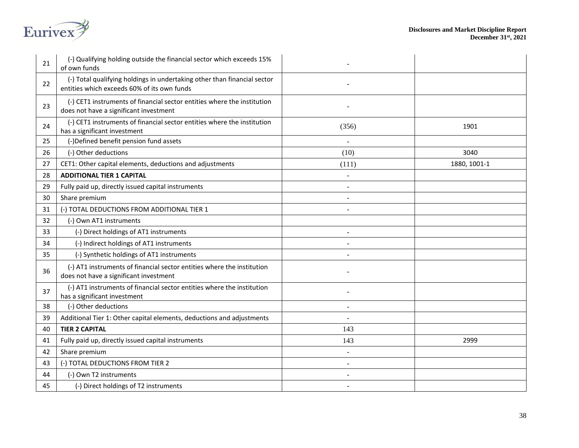

| 21 | (-) Qualifying holding outside the financial sector which exceeds 15%<br>of own funds                                   |       |              |
|----|-------------------------------------------------------------------------------------------------------------------------|-------|--------------|
| 22 | (-) Total qualifying holdings in undertaking other than financial sector<br>entities which exceeds 60% of its own funds |       |              |
| 23 | (-) CET1 instruments of financial sector entities where the institution<br>does not have a significant investment       |       |              |
| 24 | (-) CET1 instruments of financial sector entities where the institution<br>has a significant investment                 | (356) | 1901         |
| 25 | (-)Defined benefit pension fund assets                                                                                  |       |              |
| 26 | (-) Other deductions                                                                                                    | (10)  | 3040         |
| 27 | CET1: Other capital elements, deductions and adjustments                                                                | (111) | 1880, 1001-1 |
| 28 | <b>ADDITIONAL TIER 1 CAPITAL</b>                                                                                        |       |              |
| 29 | Fully paid up, directly issued capital instruments                                                                      |       |              |
| 30 | Share premium                                                                                                           |       |              |
| 31 | (-) TOTAL DEDUCTIONS FROM ADDITIONAL TIER 1                                                                             |       |              |
| 32 | (-) Own AT1 instruments                                                                                                 |       |              |
| 33 | (-) Direct holdings of AT1 instruments                                                                                  |       |              |
| 34 | (-) Indirect holdings of AT1 instruments                                                                                |       |              |
| 35 | (-) Synthetic holdings of AT1 instruments                                                                               |       |              |
| 36 | (-) AT1 instruments of financial sector entities where the institution<br>does not have a significant investment        |       |              |
| 37 | (-) AT1 instruments of financial sector entities where the institution<br>has a significant investment                  |       |              |
| 38 | (-) Other deductions                                                                                                    |       |              |
| 39 | Additional Tier 1: Other capital elements, deductions and adjustments                                                   |       |              |
| 40 | <b>TIER 2 CAPITAL</b>                                                                                                   | 143   |              |
| 41 | Fully paid up, directly issued capital instruments                                                                      | 143   | 2999         |
| 42 | Share premium                                                                                                           |       |              |
| 43 | (-) TOTAL DEDUCTIONS FROM TIER 2                                                                                        |       |              |
| 44 | (-) Own T2 instruments                                                                                                  |       |              |
| 45 | (-) Direct holdings of T2 instruments                                                                                   |       |              |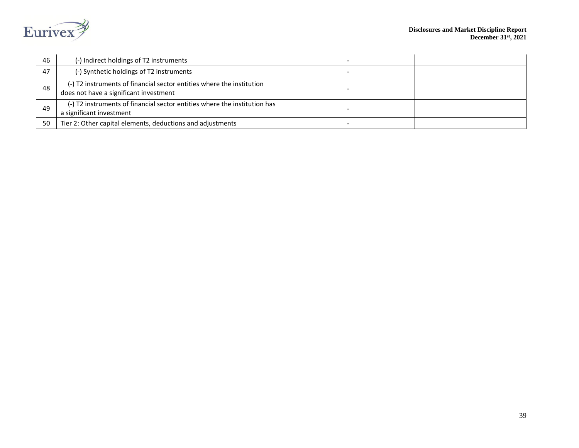

| 46 | (-) Indirect holdings of T2 instruments                                                                         |  |
|----|-----------------------------------------------------------------------------------------------------------------|--|
| 47 | (-) Synthetic holdings of T2 instruments                                                                        |  |
| 48 | (-) T2 instruments of financial sector entities where the institution<br>does not have a significant investment |  |
| 49 | (-) T2 instruments of financial sector entities where the institution has<br>a significant investment           |  |
| 50 | Tier 2: Other capital elements, deductions and adjustments                                                      |  |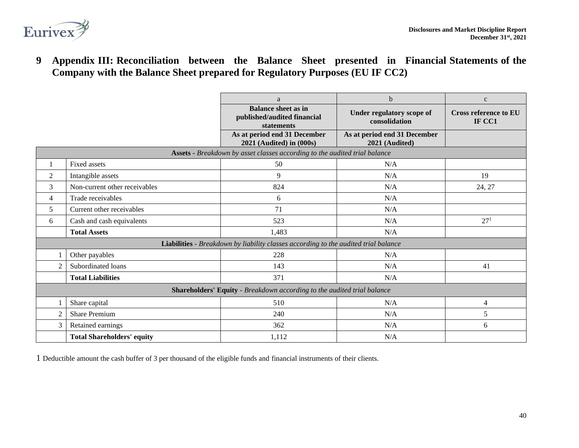

**9 Appendix III: Reconciliation between the Balance Sheet presented in Financial Statements of the Company with the Balance Sheet prepared for Regulatory Purposes (EU IF CC2)**

<span id="page-39-0"></span>

|                                                                         |                                   | a                                                                                   | $\mathbf b$                                    | $\mathbf c$                            |
|-------------------------------------------------------------------------|-----------------------------------|-------------------------------------------------------------------------------------|------------------------------------------------|----------------------------------------|
|                                                                         |                                   | <b>Balance sheet as in</b><br>published/audited financial<br><b>statements</b>      | Under regulatory scope of<br>consolidation     | <b>Cross reference to EU</b><br>IF CC1 |
|                                                                         |                                   | As at period end 31 December<br>2021 (Audited) in (000s)                            | As at period end 31 December<br>2021 (Audited) |                                        |
|                                                                         |                                   | Assets - Breakdown by asset classes according to the audited trial balance          |                                                |                                        |
|                                                                         | <b>Fixed assets</b>               | 50                                                                                  | N/A                                            |                                        |
| $\overline{2}$                                                          | Intangible assets                 | 9                                                                                   | N/A                                            | 19                                     |
| 3                                                                       | Non-current other receivables     | 824                                                                                 | N/A                                            | 24, 27                                 |
| 4                                                                       | Trade receivables                 | 6                                                                                   | N/A                                            |                                        |
| 5                                                                       | Current other receivables         | 71                                                                                  | N/A                                            |                                        |
| 6                                                                       | Cash and cash equivalents         | 523                                                                                 | N/A                                            | 27 <sup>1</sup>                        |
|                                                                         | <b>Total Assets</b>               | 1,483                                                                               | N/A                                            |                                        |
|                                                                         |                                   | Liabilities - Breakdown by liability classes according to the audited trial balance |                                                |                                        |
|                                                                         | Other payables                    | 228                                                                                 | N/A                                            |                                        |
| $\overline{2}$                                                          | Subordinated loans                | 143                                                                                 | N/A                                            | 41                                     |
|                                                                         | <b>Total Liabilities</b>          | 371                                                                                 | N/A                                            |                                        |
| Shareholders' Equity - Breakdown according to the audited trial balance |                                   |                                                                                     |                                                |                                        |
|                                                                         | Share capital                     | 510                                                                                 | N/A                                            | 4                                      |
| $\overline{2}$                                                          | Share Premium                     | 240                                                                                 | N/A                                            | 5                                      |
| 3                                                                       | Retained earnings                 | 362                                                                                 | N/A                                            | 6                                      |
|                                                                         | <b>Total Shareholders' equity</b> | 1,112                                                                               | N/A                                            |                                        |

1 Deductible amount the cash buffer of 3 per thousand of the eligible funds and financial instruments of their clients.